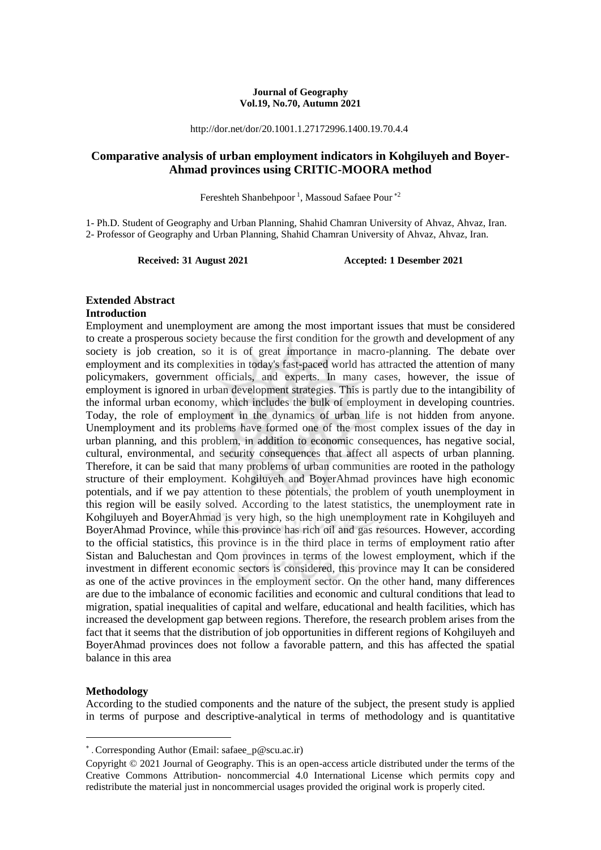#### **Journal of Geography Vol.19, No.70, Autumn 2021**

http://dor.net/dor/20.1001.1.27172996.1400.19.70.4.4

## **Comparative analysis of urban employment indicators in Kohgiluyeh and Boyer-Ahmad provinces using CRITIC-MOORA method**

Fereshteh Shanbehpoor<sup>1</sup>, Massoud Safaee Pour<sup>\*2</sup>

1- Ph.D. Student of Geography and Urban Planning, Shahid Chamran University of Ahvaz, Ahvaz, Iran. 2- Professor of Geography and Urban Planning, Shahid Chamran University of Ahvaz, Ahvaz, Iran.

**Received: 31 August 2021 Accepted: 1 Desember 2021**

#### **Extended Abstract**

#### **Introduction**

Employment and unemployment are among the most important issues that must be considered to create a prosperous society because the first condition for the growth and development of any society is job creation, so it is of great importance in macro-planning. The debate over employment and its complexities in today's fast-paced world has attracted the attention of many policymakers, government officials, and experts. In many cases, however, the issue of employment is ignored in urban development strategies. This is partly due to the intangibility of the informal urban economy, which includes the bulk of employment in developing countries. Today, the role of employment in the dynamics of urban life is not hidden from anyone. Unemployment and its problems have formed one of the most complex issues of the day in urban planning, and this problem, in addition to economic consequences, has negative social, cultural, environmental, and security consequences that affect all aspects of urban planning. Therefore, it can be said that many problems of urban communities are rooted in the pathology structure of their employment. Kohgiluyeh and BoyerAhmad provinces have high economic potentials, and if we pay attention to these potentials, the problem of youth unemployment in this region will be easily solved. According to the latest statistics, the unemployment rate in Kohgiluyeh and BoyerAhmad is very high, so the high unemployment rate in Kohgiluyeh and BoyerAhmad Province, while this province has rich oil and gas resources. However, according to the official statistics, this province is in the third place in terms of employment ratio after Sistan and Baluchestan and Qom provinces in terms of the lowest employment, which if the investment in different economic sectors is considered, this province may It can be considered as one of the active provinces in the employment sector. On the other hand, many differences are due to the imbalance of economic facilities and economic and cultural conditions that lead to migration, spatial inequalities of capital and welfare, educational and health facilities, which has increased the development gap between regions. Therefore, the research problem arises from the fact that it seems that the distribution of job opportunities in different regions of Kohgiluyeh and BoyerAhmad provinces does not follow a favorable pattern, and this has affected the spatial balance in this area

#### **Methodology**

**.** 

According to the studied components and the nature of the subject, the present study is applied in terms of purpose and descriptive-analytical in terms of methodology and is quantitative

<sup>∗</sup> . Corresponding Author (Email: safaee\_p@scu.ac.ir)

Copyright © 2021 Journal of Geography. This is an open-access article distributed under the terms of the Creative Commons Attribution- noncommercial 4.0 International License which permits copy and redistribute the material just in noncommercial usages provided the original work is properly cited.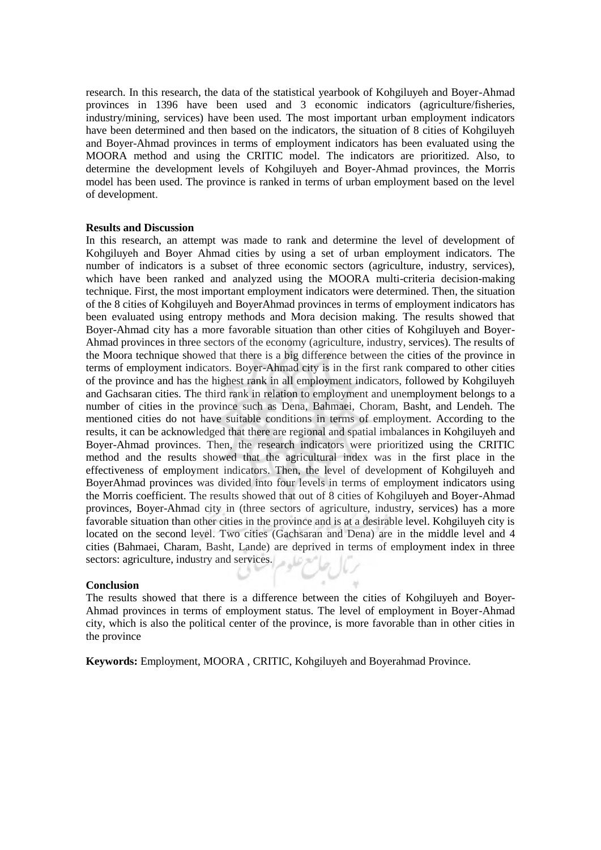research. In this research, the data of the statistical yearbook of Kohgiluyeh and Boyer-Ahmad provinces in 1396 have been used and 3 economic indicators (agriculture/fisheries, industry/mining, services) have been used. The most important urban employment indicators have been determined and then based on the indicators, the situation of 8 cities of Kohgiluyeh and Boyer-Ahmad provinces in terms of employment indicators has been evaluated using the MOORA method and using the CRITIC model. The indicators are prioritized. Also, to determine the development levels of Kohgiluyeh and Boyer-Ahmad provinces, the Morris model has been used. The province is ranked in terms of urban employment based on the level of development.

#### **Results and Discussion**

In this research, an attempt was made to rank and determine the level of development of Kohgiluyeh and Boyer Ahmad cities by using a set of urban employment indicators. The number of indicators is a subset of three economic sectors (agriculture, industry, services), which have been ranked and analyzed using the MOORA multi-criteria decision-making technique. First, the most important employment indicators were determined. Then, the situation of the 8 cities of Kohgiluyeh and BoyerAhmad provinces in terms of employment indicators has been evaluated using entropy methods and Mora decision making. The results showed that Boyer-Ahmad city has a more favorable situation than other cities of Kohgiluyeh and Boyer-Ahmad provinces in three sectors of the economy (agriculture, industry, services). The results of the Moora technique showed that there is a big difference between the cities of the province in terms of employment indicators. Boyer-Ahmad city is in the first rank compared to other cities of the province and has the highest rank in all employment indicators, followed by Kohgiluyeh and Gachsaran cities. The third rank in relation to employment and unemployment belongs to a number of cities in the province such as Dena, Bahmaei, Choram, Basht, and Lendeh. The mentioned cities do not have suitable conditions in terms of employment. According to the results, it can be acknowledged that there are regional and spatial imbalances in Kohgiluyeh and Boyer-Ahmad provinces. Then, the research indicators were prioritized using the CRITIC method and the results showed that the agricultural index was in the first place in the effectiveness of employment indicators. Then, the level of development of Kohgiluyeh and BoyerAhmad provinces was divided into four levels in terms of employment indicators using the Morris coefficient. The results showed that out of 8 cities of Kohgiluyeh and Boyer-Ahmad provinces, Boyer-Ahmad city in (three sectors of agriculture, industry, services) has a more favorable situation than other cities in the province and is at a desirable level. Kohgiluyeh city is located on the second level. Two cities (Gachsaran and Dena) are in the middle level and 4 cities (Bahmaei, Charam, Basht, Lande) are deprived in terms of employment index in three sectors: agriculture, industry and services.

#### **Conclusion**

The results showed that there is a difference between the cities of Kohgiluyeh and Boyer-Ahmad provinces in terms of employment status. The level of employment in Boyer-Ahmad city, which is also the political center of the province, is more favorable than in other cities in the province

**Keywords:** Employment, MOORA , CRITIC, Kohgiluyeh and Boyerahmad Province.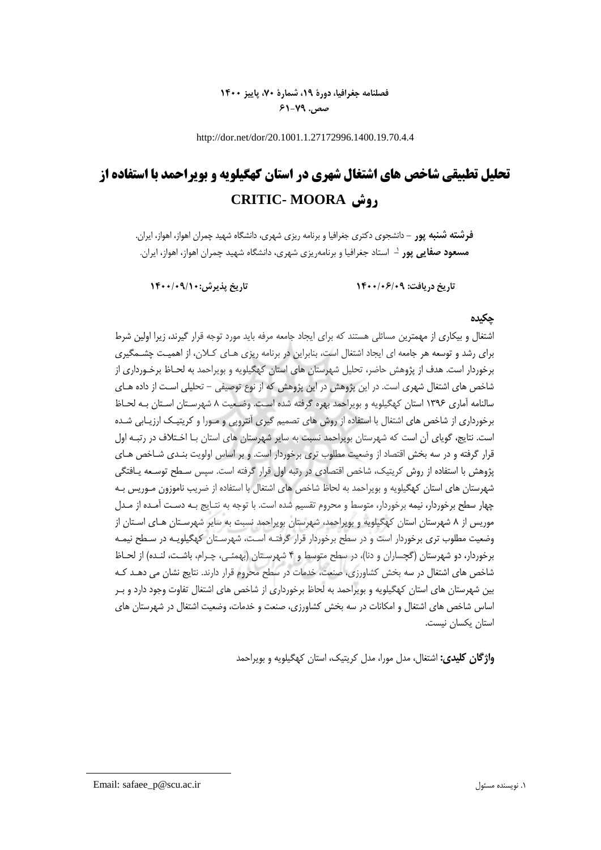# **فصلنامه جغرافیا، دورۀ ،19 شمارۀ ،70 پاییز 1400 صص. 61-79**

http://dor.net/dor/20.1001.1.27172996.1400.19.70.4.4

# **تحلیل تطبیقی شاخص های اشتغال شهری در استان كهگیلویه و بویراحمد با استفاده از CRITIC- MOORA روش**

**فرشته شنبه پور -** دانشجوی دکتری جغرافیا و برنامه ریزی شهری، دانشگاه شهید چمران اهواز، اهواز، ایران. 1 **مسعود صفایی پور -** استاد جغرافیا و برنامهریزی شهری، دانشگاه شهید چمران اهواز، اهواز، ایران.

**تاریخ دریافت: 1400/06/09 تاریخ پ یرش1400/09/10:**

#### **چکیده**

اشتغال و بیكاری از مهمترین مسائلی هستند که برای ایجاد جامعه مرفه باید مورد توجه قرار گیرند، زیرا اولین شرط برای رشد و توسعه هر جامعه ای ایجاد اشتغال است، بنابراین در برنامه ریزی هـای کـالن، از اهمیـت چشـمگیری برخوردار است. هدف از پژوهش حاضر، تحلیل شهرستان های استان کهگیلویه و بویراحمد به لحـاظ برخـورداری از شاخص های اشتغال شهری است. در این پژوهش در این پژوهش که از نوع توصیفی - تحلیلی اسـت از داده هـای سالنامه آماری ۱۳۹۶ استان کهگیلویه و بویراحمد بهره گرفته شده است. وضـعیت ۸ شهرسـتان اسـتان بـه لحـاظ برخورداری از شاخص های اشتغال با استفاده از روش های تصمیم گیری آنتروپی و مـورا و کریتیـک ارزیـابی شـده است. نتایج، گویای آن است که شهرستان بویراحمد نسبت به سایر شهرستان های استان بـا اخـتال ف در رتبـه اول قرار گرفته و در سه بخش اقتصاد از وضعیت مطلوب تری برخوردار است. و بر اساس اولویت بنـدی شـاخص هـای پژوهش با استفاده از روش کریتیک، شاخص اقتصادی در رتبه اول قرار گرفته است. سپس سـطح توسـعه یـافتگی شهرستان های استان کهگیلویه و بویراحمد به لحاظ شاخص های اشتغال با استفاده از ضریب ناموزون مـوریس بـه چهار سطح برخوردار، نیمه برخوردار، متوسط و محروم تقسیم شده است. با توجه به نتـایج بـه دسـت آمـده از مـدل موریس از 8 شهرستان استان کهگیلویه و بویراحمد، شهرستان بویراحمد نسبت به سایر شهرسـتان هـ ای اسـتان از وضعیت مطلوب تری برخوردار است و در سطح برخوردار قرار گرفتـه اسـت، شهرسـتان کهگیلویـه در سـ طح نیمـه برخوردار، دو شهرستان (گچساران و دنا)، در سطح متوسط و ۴ شهرسـتان (بهمئـی، چـرام، باشـت، لنـده) از لحـاظ شاخص های اشتغال در سه بخش کشاورزی، صنعت، خدمات در سطح محروم قرار دارند. نتایج نشان می دهـد کـه بین شهرستان های استان کهگیلویه و بویراحمد به لحاظ برخورداری از شاخص های اشتغال تفاوت وجود دارد و بـر اساس شاخص های اشتغال و امكانات در سه بخش کشاورزی، صنعت و خدمات، وضعیت اشتغال در شهرستان های استان یكسان نیست.

**واژگان کلیدی:** اشتغال، مدل مورا، مدل کریتین، استان کهگیلویه و بویراحمد

Email: safaee\_p@scu.ac.ir مسئول نویسنده .1

**.**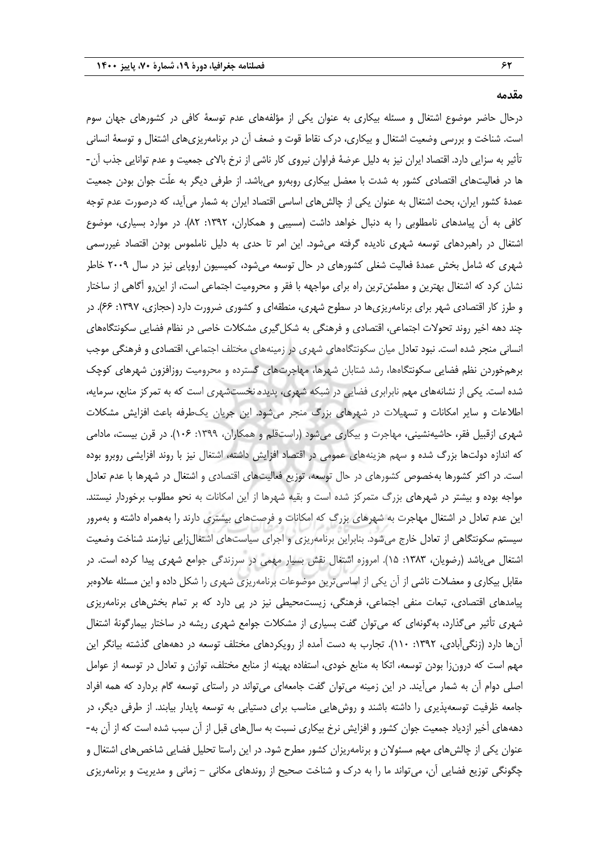**مقدمه**

درحال حاضر موضوع اشتغال و مسئله بیكاری به عنوان یكی از مؤلفههای عدم توسعۀ کافی در کشورهای جهان سوم است. شناخت و بررسی وضعیت اشتغال و بیكاری، درك نقاط قوت و ضعف آن در برنامهریزیهای اشتغال و توسعۀ انسانی تأثیر به سزایی دارد. اقتصاد ایران نیز به دلیل عرضۀ فراوان نیروی کار ناشی از نرخ باالی جمعیت و عدم توانایی جذب آن- ها در فعالیتهای اقتصادی کشور به شدت با معضل بیكاری روبهرو میباشد. از طرفی دیگر به علّت جوان بودن جمعیت عمدهٔ کشور ایران، بحث اشتغال به عنوان یكی از چالشهای اساسی اقتصاد ایران به شمار میآید، که درصورت عدم توجه کافی به ان پیامدهای نامطلوبی را به دنبال خواهد داشت (مسیبی و همکاران، ۱۳۹۲: ۸۲). در موارد بسیاری، موضوع اشتغال در راهبردهای توسعه شهری نادیده گرفته میشود. این امر تا حدی به دلیل ناملموس بودن اقتصاد غیررسمی شهری که شامل بخش عمدة فعالیت شغلی کشورهای در حال توسعه میشود، کمیسیون اروپایی نیز در سال 2009 خاطر نشان کرد که اشتغال بهترین و مطمئنترین راه برای مواجهه با فقر و محرومیت اجتماعی است، از اینرو آگاهی از ساختار و طرز کار اقتصادی شهر برای برنامهریزی ها در سطوح شهری، منطقهای و کشوری ضرورت دارد (حجازی، ۱۳۹۷: ۶۶). در چند دهه اخیر روند تحوالت اجتماعی، اقتصادی و فرهنگی به شكلگیری مشكالت خاصی در نظام فضایی سكونتگاههای انسانی منجر شده است. نبود تعادل میان سكونتگاههای شهری در زمینههای مختلف اجتماعی، اقتصادی و فرهنگی موجب برهمخوردن نظم فضایی سكونتگاهها، رشد شتابان شهرها، مهاجرتهای گسترده و محرومیت روزافزون شهرهای کوچن شده است. یكی از نشانههای مهم نابرابری فضایی در شبكه شهری، پدیدۀ نخستشهری است که به تمرکز منابع، سرمایه، اطلاعات و سایر امكانات و تسهیلات در شهرهای بزرگ منجر میشود. این جریان یکطرفه باعث افزایش مشكلات شهری ازقبیل فقر، حاشیهنشینی، مهاجرت و بیكاری میشود (راستقلم و همكاران، ١٣٩٩: ١٠۶). در قرن بیست، مادامی که اندازه دولتها بزرگ شده و سهم هزینههای عمومی در اقتصاد افزایش داشته، اشتغال نیز با روند افزایشی روبرو بوده است. در اکثر کشورها بهخصوص کشورهای در حال توسعه، توزیع فعالیتهای اقتصادی و اشتغال در شهرها با عدم تعادل مواجه بوده و بیشتر در شهرهای بزرگ متمرکز شده است و بقیه شهرها از این امكانات به نحو مطلوب برخوردار نیستند. این عدم تعادل در اشتغال مهاجرت به شهرهای بزرگ که امكانات و فرصتهای بیشتری دارند را بههمراه داشته و بهمرور سیستم سكونتگاهی از تعادل خارج می شود. بنابراین برنامهریزی و اجرای سیاستهای اشتغالزایی نیازمند شناخت وضعیت اشتغال میباشد (رضویان، ۱۳۸۳: ۱۵). امروزه اشتغال نقش بسیار مهمی در سرزندگی جوامع شهری پیدا کرده است. در مقابل بیكاری و معضالت ناشی از آن یكی از اساسیترین موضوعات برنامهریزی شهری را شكل داده و این مسئله عالوهبر پیامدهای اقتصادی، تبعات منفی اجتماعی، فرهنگی، زیستمحیطی نیز در پی دارد که بر تمام بخشهای برنامهریزی شهری تأثیر میگذارد، بهگونهای که میتوان گفت بسیاری از مشكالت جوامع شهری ریشه در ساختار بیمارگونۀ اشتغال آنها دارد )زنگیآبادی، :1392 110(. تجارب به دست آمده از رویكردهای مختلف توسعه در دهههای گذشته بیانگر این مهم است که درونزا بودن توسعه، اتكا به منابع خودی، استفاده بهینه از منابع مختلف، توازن و تعادل در توسعه از عوامل اصلی دوام آن به شمار میآیند. در این زمینه میتوان گفت جامعهای میتواند در راستای توسعه گام بردارد که همه افراد جامعه ظرفیت توسعهپذیری را داشته باشند و روشهایی مناسب برای دستیابی به توسعه پایدار بیابند. از طرفی دیگر، در دهههای أخیر ازدیاد جمعیت جوان کشور و افزایش نرخ بیكاری نسبت به سالهای قبل از آن سبب شده است که از آن به- عنوان یكی از چالشهای مهم مسئوالن و برنامهریزان کشور مطرح شود. در این راستا تحلیل فضایی شاخصهای اشتغال و چگونگی توزیع فضایی آن، میتواند ما را به درك و شناخت صحیح از روندهای مكانی - زمانی و مدیریت و برنامهریزی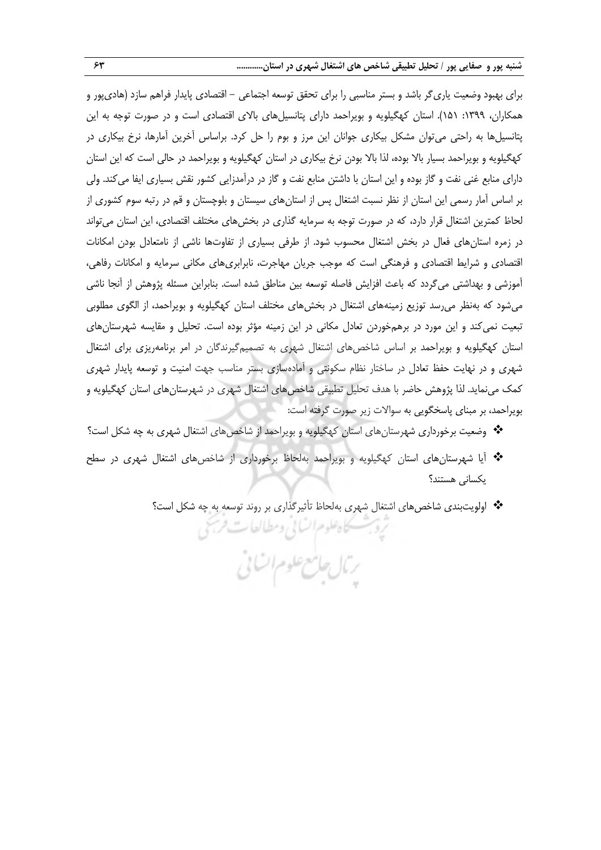برای بهبود وضعیت یاریگر باشد و بستر مناسبی را برای تحقق توسعه اجتماعی - اقتصادی پایدار فراهم سازد )هادیپور و همکاران، ۱۳۹۹: ۱۵۱). استان کهگیلویه و بویراحمد دارای پتانسیلهای بالای اقتصادی است و در صورت توجه به این پتانسیلها به راحتی میتوان مشكل بیكاری جوانان این مرز و بوم را حل کرد. براساس آخرین آمارها، نرخ بیكاری در کهگیلویه و بویراحمد بسیار بالا بوده، لذا بالا بودن نرخ بیکاری در استان کهگیلویه و بویراحمد در حالی است که این استان دارای منابع غنی نفت و گاز بوده و این استان با داشتن منابع نفت و گاز در درآمدزایی کشور نقش بسیاری ایفا میکند. ولی بر اساس آمار رسمی این استان از نظر نسبت اشتغال پس از استانهای سیستان و بلوچستان و قم در رتبه سوم کشوری از لحاظ کمترین اشتغال قرار دارد، که در صورت توجه به سرمایه گذاری در بخشهای مختلف اقتصادی، این استان میتواند در زمره استانهای فعال در بخش اشتغال محسوب شود. از طرفی بسیاری از تفاوتها ناشی از نامتعادل بودن امكانات اقتصادی و شرایط اقتصادی و فرهنگی است که موجب جریان مهاجرت، نابرابریهای مکانی سرمایه و امکانات رفاهی، آموزشی و بهداشتی میگردد که باعث افزایش فاصله توسعه بین مناطق شده است. بنابراین مسئله پژوهش از آنجا ناشی میشود که بهنظر میرسد توزیع زمینههای اشتغال در بخشهای مختلف استان کهگیلویه و بویراحمد، از الگوی مطلوبی تبعیت نمیکند و این مورد در برهمخوردن تعادل مكانی در این زمینه مؤثر بوده است. تحلیل و مقایسه شهرستانهای استان کهگیلویه و بویراحمد بر اساس شاخصهای اشتغال شهری به تصمیمگیرندگان در امر برنامهریزی برای اشتغال شهری و در نهایت حفظ تعادل در ساختار نظام سكونتی و آمادهسازی بستر مناسب جهت امنیت و توسعه پایدار شهری کمن مینماید. لذا پژوهش حاضر با هدف تحلیل تطبیقی شاخصهای اشتغال شهری در شهرستانهای استان کهگیلویه و بویراحمد، بر مبنای پاسخگویی به سواالت زیر صورت گرفته است:

- وضعیت برخورداری شهرستانهای استان کهگیلویه و بویراحمد از شاخصهای اشتغال شهری به چه شكل است؟
- آیا شهرستانهای استان کهگیلویه و بویراحمد بهلحاظ برخورداری از شاخصهای اشتغال شهری در سطح یكسانی هستند؟

رئال حامع علوم اتناني

كاه علوم السابي ومطالعات فرسخي

اولویتبندی شاخصهای اشتغال شهری بهلحاظ تأثیرگذاری بر روند توسعه به چه شكل است؟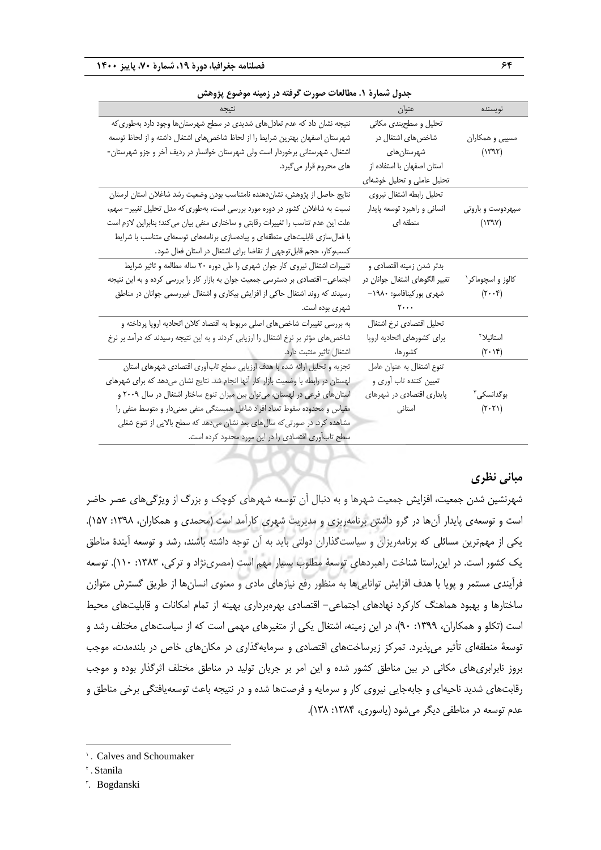| جدول سَمارة ٦. مطالعات صورت گرفته در زمینه موضوع پژوهش                            |                                |                               |  |  |
|-----------------------------------------------------------------------------------|--------------------------------|-------------------------------|--|--|
|                                                                                   | عنوان                          | نويسنده                       |  |  |
| نتیجه نشان داد که عدم تعادلهای شدیدی در سطح شهرستانها وجود دارد بهطوری که         | تحلیل و سطحبندی مکانی          |                               |  |  |
| شهرستان اصفهان بهترين شرايط را از لحاظ شاخصهاى اشتغال داشته و از لحاظ توسعه       | شاخصهای اشتغال در              | مسیبی و همکاران               |  |  |
| اشتغال، شهرستانی برخوردار است ولی شهرستان خوانسار در ردیف آخر و جزو شهرستان-      | شهرستا <u>ن</u> ها <i>ی</i>    | (1797)                        |  |  |
| های محروم قرار میگیرد.                                                            | استان اصفهان با استفاده از     |                               |  |  |
|                                                                                   | تحلیل عاملی و تحلیل خوشهای     |                               |  |  |
| نتايج حاصل از پژوهش، نشاندهنده نامتناسب بودن وضعيت رشد شاغلان استان لرستان        | تحليل رابطه اشتغال نيروى       |                               |  |  |
| نسبت به شاغلان کشور در دوره مورد بررسی است، بهطوری که مدل تحلیل تغییر– سهم،       | انساني و راهبرد توسعه پايدار   | سپهردوست و باروتي             |  |  |
| علت این عدم تناسب را تغییرات رقابتی و ساختاری منفی بیان می کند؛ بنابراین لازم است | منطقه ای                       | $(Y^{\alpha}Y)$               |  |  |
| با فعالسازی قابلیتهای منطقهای و پیادهسازی برنامههای توسعهای متناسب با شرایط       |                                |                               |  |  |
| کسبوکار، حجم قابل توجهی از تقاضا برای اشتغال در استان فعال شود.                   |                                |                               |  |  |
| تغییرات اشتغال نیروی کار جوان شهری را طی دوره ۲۰ ساله مطالعه و تاثیر شرایط        | بدتر شدن زمینه اقتصادی و       |                               |  |  |
| اجتماعی– اقتصادی بر دسترسی جمعیت جوان به بازار کار را بررسی کرده و به این نتیجه   | تغییر الگوهای اشتغال جوانان در | کالوز و اسچوماکر`             |  |  |
| رسیدند که روند اشتغال حاکی از افزایش بیکاری و اشتغال غیررسمی جوانان در مناطق      | شهری بورکینافاسو: ۱۹۸۰–        | $(\tau \cdot \cdot \epsilon)$ |  |  |
| شهری بوده است.                                                                    | $\mathbf{y} \cdot \cdot \cdot$ |                               |  |  |
| به بررسی تغییرات شاخصهای اصلی مربوط به اقتصاد کلان اتحادیه اروپا پرداخته و        | تحليل اقتصادي نرخ اشتغال       |                               |  |  |
| شاخصهای مؤثر بر نرخ اشتغال را ارزیابی کردند و به این نتیجه رسیدند که درآمد بر نرخ | برای کشورهای اتحادیه اروپا     | استانیلا <sup>۲</sup>         |  |  |
| اشتغال تاثير مثتبت دارد.                                                          | كشورها،                        | $(7 \cdot 14)$                |  |  |
| تجزیه و تحلیل ارائه شده با هدف ارزیابی سطح تابآوری اقتصادی شهرهای استان           | تنوع اشتغال به عنوان عامل      |                               |  |  |
| لهستان در رابطه با وضعیت بازار کار آنها انجام شد. نتایج نشان میدهد که برای شهرهای | تعیین کننده تاب أوري و         |                               |  |  |
| استانهای فرعی در لهستان، میتوان بین میزان تنوع ساختار اشتغال در سال ۲۰۰۹ و        | پایداری اقتصادی در شهرهای      | بوگدانسکی <sup>۳</sup>        |  |  |
| مقیاس و محدوده سقوط تعداد افراد شاغل همبستگی منفی معنیدار و متوسط منفی را         | استانی                         | $(\mathbf{r}\cdot\mathbf{r})$ |  |  |
| مشاهده کرد. در صورتی که سالهای بعد نشان میدهد که سطح بالایی از تنوع شغلی          |                                |                               |  |  |
| سطح تابآوری اقتصادی را در این مورد محدود کرده است.                                |                                |                               |  |  |

| جدول شمارهٔ ۱. مطالعات صورت گرفته در زمینه موضوع پژوهش |  |  |
|--------------------------------------------------------|--|--|
|--------------------------------------------------------|--|--|

# **مبانی نظری**

شهرنشین شدن جمعیت، افزایش جمعیت شهرها و به دنبال آن توسعه شهرهای کوچن و بزرگ از ویژگیهای عصر حاضر است و توسعهی پایدار آنها در گرو داشتن برنامهریزی و مدیریت شهری کارآمد است (محمدی و همكاران، ١٣٩٨: ١۵٧). یكی از مهمترین مسائلی که برنامهریزان و سیاستگذاران دولتی باید به آن توجه داشته باشند، رشد و توسعه آیندة مناطق ین کشور است. در اینراستا شناخت راهبردهای توسعۀ مطلوب بسیار مهم است )مصرینژاد و ترکی، :1383 110(. توسعه فرآیندی مستمر و پویا با هدف افزایش تواناییها به منظور رفع نیازهای مادی و معنوی انسانها از طریق گسترش متوازن ساختارها و بهبود هماهنگ کارکرد نهادهای اجتماعی- اقتصادی بهرهبرداری بهینه از تمام امكانات و قابلیتهای محی است (تكلو و همكاران، ١٣٩٩: ٩٠)، در این زمینه، اشتغال یكی از متغیرهای مهمی است كه از سیاستهای مختلف رشد و توسعۀ منطقهای تأثیر میپذیرد. تمرکز زیرساختهای اقتصادی و سرمایهگذاری در مكانهای خاص در بلندمدت، موجب بروز نابرابریهای مكانی در بین مناطق کشور شده و این امر بر جریان تولید در مناطق مختلف اثرگذار بوده و موجب رقابتهای شدید ناحیهای و جابهجایی نیروی کار و سرمایه و فرصتها شده و در نتیجه باعث توسعهیافتگی برخی مناطق و عدم توسعه در مناطقی دیگر می شود (یاسوری، ۱۳۸۴: ۱۳۸).

1

<sup>1</sup> . Calves and Schoumaker

<sup>&</sup>lt;sup>r</sup>. Stanila

<sup>3</sup> . Bogdanski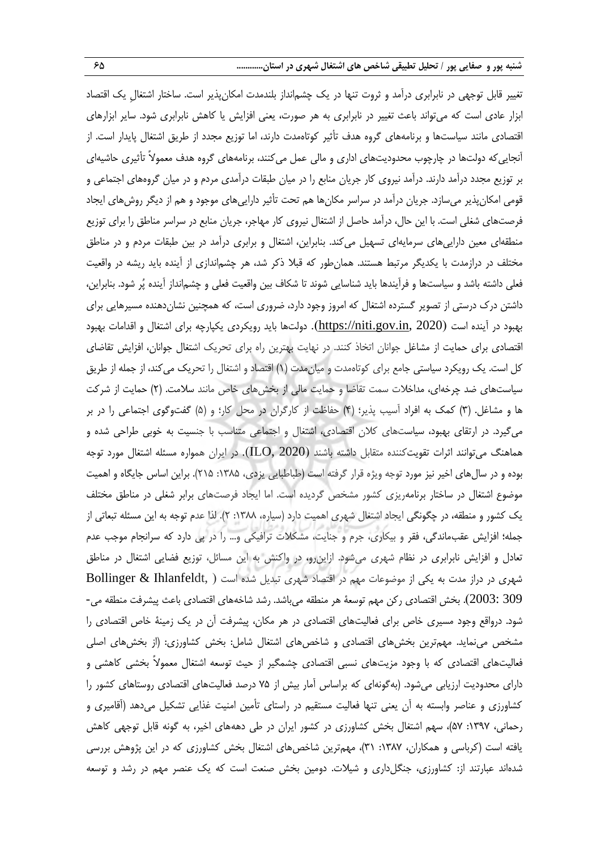تغییر قابل توجهی در نابرابری درآمد و ثروت تنها در ین چشمانداز بلندمدت امكانپذیر است. ساختار اشتغالِ ین اقتصاد ابزار عادی است که میتواند باعث تغییر در نابرابری به هر صورت، یعنی افزایش یا کاهش نابرابری شود. سایر ابزارهای اقتصادی مانند سیاستها و برنامههای گروه هدف تأثیر کوتاهمدت دارند، اما توزیع مجدد از طریق اشتغال پایدار است. از آنجاییکه دولتها در چارچوب محدودیتهای اداری و مالی عمل میکنند، برنامههای گروه هدف معموالً تأثیری حاشیهای بر توزیع مجدد درآمد دارند. درآمد نیروی کار جریان منابع را در میان طبقات درآمدی مردم و در میان گروههای اجتماعی و قومی امكانپذیر میسازد. جریان درآمد در سراسر مكانها هم تحت تأثیر داراییهای موجود و هم از دیگر روشهای ایجاد فرصتهای شغلی است. با این حال، درآمد حاصل از اشتغال نیروی کار مهاجر، جریان منابع در سراسر مناطق را برای توزیع منطقهای معین داراییهای سرمایهای تسهیل میکند. بنابراین، اشتغال و برابری درآمد در بین طبقات مردم و در مناطق مختلف در درازمدت با یکدیگر مرتبط هستند. همانطور که قبلا ذکر شد، هر چشم|ندازی از آینده باید ریشه در واقعیت فعلی داشته باشد و سیاستها و فرآیندها باید شناسایی شوند تا شكاف بین واقعیت فعلی و چشمانداز آینده پُر شود. بنابراین، داشتن درك درستی از تصویر گسترده اشتغال که امروز وجود دارد، ضروری است، که همچنین نشاندهنده مسیرهایی برای بهبود در آینده است (<u>11ttps://niti.gov.in</u>, 2020). دولتها باید رویكردی یكپارچه برای اشتغال و اقدامات بهبود اقتصادی برای حمایت از مشاغل جوانان اتخاذ کنند. در نهایت بهترین راه برای تحرین اشتغال جوانان، افزایش تقاضای کل است. یک رویکرد سیاستی جامع برای کوتاهمدت و میان مدت (۱) اقتصاد و اشتغال را تحریک میکند، از جمله از طریق سیاستهای ضد چرخهای، مداخالت سمت تقاضا و حمایت مالی از بخشهای خاص مانند سالمت. )2( حمایت از شرکت ها و مشاغل. (۳) کمک به افراد آسیب پذیر؛ (۴) حفاظت از کارگران در محل کار؛ و (۵) گفتوگوی اجتماعی را در بر میگیرد. در ارتقای بهبود، سیاستهای کالن اقتصادی، اشتغال و اجتماعی متناسب با جنسیت به خوبی طراحی شده و هماهنگ میتوانند اثرات تقویتکننده متقابل داشته باشند (2020 ,ILO(. در ایران همواره مسئله اشتغال مورد توجه بوده و در سال های اخیر نیز مورد توجه ویژه قرار گرفته است (طباطبایی یزدی، ۱۳۸۵: ۲۱۵). براین اساس جایگاه و اهمیت موضوع اشتغال در ساختار برنامهریزی کشور مشخص گردیده است. اما ایجاد فرصتهای برابر شغلی در مناطق مختلف یک کشور و منطقه، در چگونگی ایجاد اشتغال شهری اهمیت دارد (سیاره، ۱۳۸۸: ۲). لذا عدم توجه به این مسئله تبعاتی از جمله؛ افزایش عقبماندگی، فقر و بیكاری، جرم و جنایت، مشكالت ترافیكی و... را در پی دارد که سرانجام موجب عدم تعادل و افزایش نابرابری در نظام شهری میشود. ازاینرو، در واکنش به این مسائل، توزیع فضایی اشتغال در مناطق شهری در دراز مدت به یكی از موضوعات مهم در اقتصاد شهری تبدیل شده است ( ,Ihlanfeldt & Bollinger 309 :2003). بخش اقتصادی رکن مهم توسعۀ هر منطقه میباشد. رشد شاخههای اقتصادی باعث پیشرفت منطقه می-شود. درواقع وجود مسیری خاص برای فعالیتهای اقتصادی در هر مكان، پیشرفت آن در ین زمینۀ خاص اقتصادی را مشخص مینماید. مهمترین بخشهای اقتصادی و شاخصهای اشتغال شامل: بخش کشاورزی: )از بخشهای اصلی فعالیتهای اقتصادی که با وجود مزیتهای نسبی اقتصادی چشمگیر از حیث توسعه اشتغال معمولاً بخشی کاهشی و دارای محدودیت ارزیابی میشود. (بهگونهای که براساس آمار بیش از ۷۵ درصد فعالیتهای اقتصادی روستاهای کشور را کشاورزی و عناصر وابسته به آن یعنی تنها فعالیت مستقیم در راستای تأمین امنیت غذایی تشكیل میدهد )آقامیری و رحمانی، ۱۳۹۷: ۵۷)، سهم اشتغال بخش کشاورزی در کشور ایران در طی دهههای اخیر، به گونه قابل توجهی کاهش یافته است )کرباسی و همكاران، :1387 31(، مهمترین شاخصهای اشتغال بخش کشاورزی که در این پژوهش بررسی شدهاند عبارتند از: کشاورزی، جنگلداری و شیالت. دومین بخش صنعت است که ین عنصر مهم در رشد و توسعه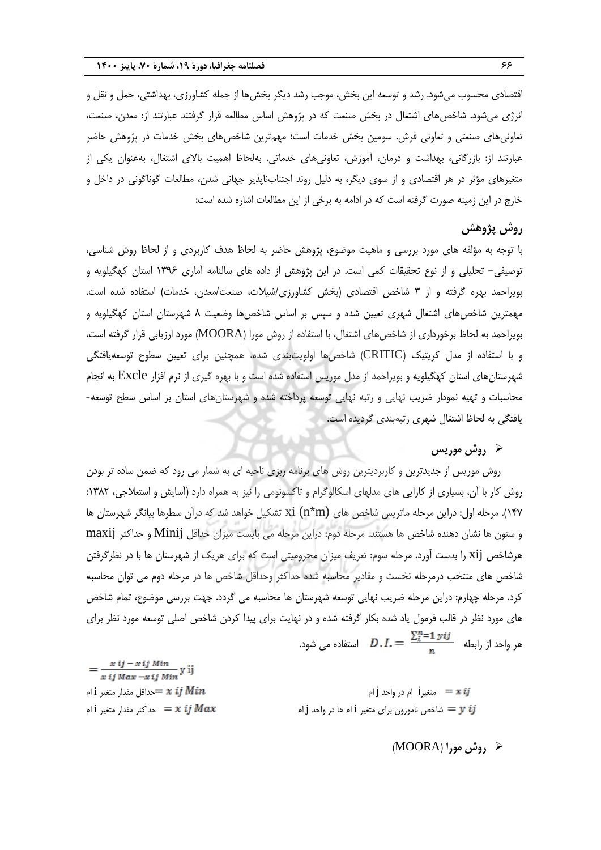اقتصادی محسوب میشود. رشد و توسعه این بخش، موجب رشد دیگر بخشها از جمله کشاورزی، بهداشتی، حمل و نقل و انرژی میشود. شاخصهای اشتغال در بخش صنعت که در پژوهش اساس مطالعه قرار گرفتند عبارتند از: معدن، صنعت، تعاونیهای صنعتی و تعاونی فرش. سومین بخش خدمات است؛ مهمترین شاخصهای بخش خدمات در پژوهش حاضر عبارتند از: بازرگانی، بهداشت و درمان، آموزش، تعاونیهای خدماتی. بهلحاظ اهمیت باالی اشتغال، بهعنوان یكی از متغیرهای مؤثر در هر اقتصادی و از سوی دیگر، به دلیل روند اجتنابناپذیر جهانی شدن، مطالعات گوناگونی در داخل و خارج در این زمینه صورت گرفته است که در ادامه به برخی از این مطالعات اشاره شده است:

# **روش پژوهش**

با توجه به مؤلفه های مورد بررسی و ماهیت موضوع، پژوهش حاضر به لحاظ هدف کاربردی و از لحاظ روش شناسی، توصیفی- تحلیلی و از نوع تحقیقات کمی است. در این پژوهش از داده های سالنامه آماری 1396 استان کهگیلویه و بویراحمد بهره گرفته و از ۳ شاخص اقتصادی (بخش کشاورزی/شیلات، صنعت/معدن، خدمات) استفاده شده است. مهمترین شاخصهای اشتغال شهری تعیین شده و سپس بر اساس شاخصها وضعیت 8 شهرستان استان کهگیلویه و بویراحمد به لحاظ برخورداری از شاخصهای اشتغال، با استفاده از روش مورا )MOORA )مورد ارزیابی قرار گرفته است، و با استفاده از مدل کریتین )CRITIC )شاخصها اولویتبندی شده، همچنین برای تعیین سطوح توسعهیافتگی شهرستانهای استان کهگیلویه و بویراحمد از مدل موریس استفاده شده است و با بهره گیری از نرم افزار Excle به انجام محاسبات و تهیه نمودار ضریب نهایی و رتبه نهایی توسعه پرداخته شده و شهرستانهای استان بر اساس سطح توسعه- یافتگی به لحاظ اشتغال شهری رتبهبندی گردیده است.

# **روش موریس**

روش موریس از جدیدترین و کاربردیترین روش های برنامه ربزی ناحیه ای به شمار می رود که ضمن ساده تر بودن روش کار با آن، بسیاری از کارایی های مدلهای اسكالوگرام و تاکسونومی را نیز به همراه دارد )آسایش و استعالجی، :1382 147(. مرحله اول: دراین مرحله ماتریس شاخص های (m\*n (xi تشكیل خواهد شد که درآن سطرها بیانگر شهرستان ها و ستون ها نشان دهنده شاخص ها هستند. مرحله دوم: دراین مرحله می بایست میزان حداقل Minij و حداکثر maxij هرشاخص xij را بدست آورد. مرحله سوم: تعریف میزان محرومیتی است که برای هرین از شهرستان ها با در نظرگرفتن شاخص های منتخب درمرحله نخست و مقادیر محاسبه شده حداکثر وحداقل شاخص ها در مرحله دوم می توان محاسبه کرد. مرحله چهارم: دراین مرحله ضریب نهایی توسعه شهرستان ها محاسبه می گردد. جهت بررسی موضوع، تمام شاخص های مورد نظر در قالب فرمول یاد شده بكار گرفته شده و در نهایت برای پیدا کردن شاخص اصلی توسعه مورد نظر برای هر واحد از رابطه  $\frac{\sum_{i=1}^{n} y_{ij}}{n}$  استفاده می شود.

| $x$ ij Max $-x$ ij Min <sup>y 1</sup>               |                                                                                                     |
|-----------------------------------------------------|-----------------------------------------------------------------------------------------------------|
| حداقل مقدار متغير $\dot{1}$ ام $= x \,\, ij \, Min$ | متغیرi ام در واحد j متغیر                                                                           |
| حداکثر مقدار متغیر $z$ i حداکثر $z$                 | شاخص ناموزون برای متغیر i ام ها در واحد j شاخص ناموزون برای متغیر $\boldsymbol{y} \boldsymbol{\ i}$ |

 $x ij - x ij Min$ 

## **روش مورا** )MOORA)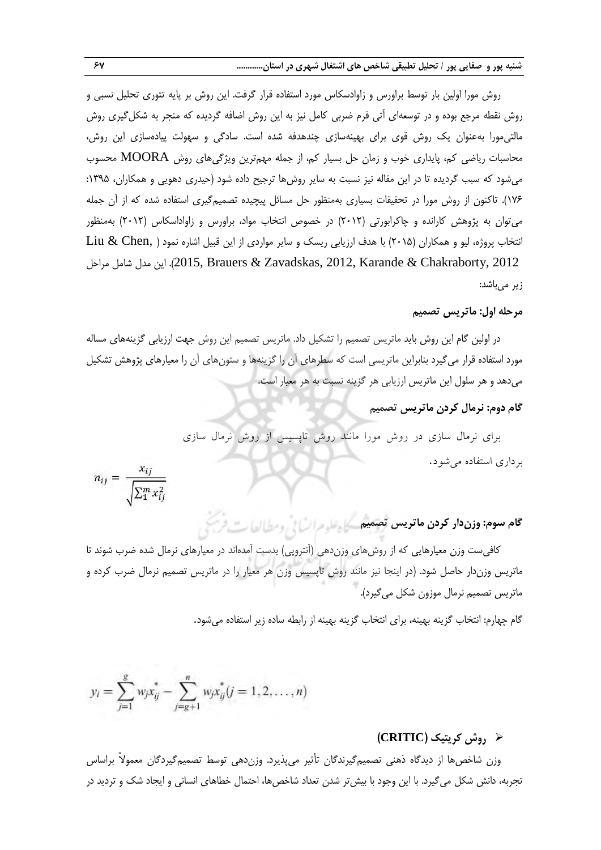روش مورا اولین بار توسط براورس و زاوادسكاس مورد استفاده قرار گرفت. این روش بر پایه تئوری تحلیل نسبی و روش نقطه مرجع بوده و در توسعهای آتی فرم ضربی کامل نیز به این روش اضافه گردیده که منجر به شكلگیری روش مالتیمورا بهعنوان ین روش قوی برای بهینهسازی چندهدفه شده است. سادگی و سهولت پیادهسازی این روش، محاسبات ریاضی کم، پایداری خوب و زمان حل بسیار کم، از جمله مهمترین ویژگیهای روش MOORA محسوب میشود که سبب گردیده تا در این مقاله نیز نسبت به سایر روشها ترجیح داده شود (حیدری دهویی و همكاران، ۱۳۹۵: 176(. تاکنون از روش مورا در تحقیقات بسیاری بهمنظور حل مسائل پیچیده تصمیمگیری استفاده شده که از آن جمله میتوان به پژوهش کارانده و چاکرابورتی )2012( در خصوص انتخاب مواد، براورس و زاواداسكاس )2012( بهمنظور انتخاب پروژه، لیو و همكاران (۲۰۱۵) با هدف ارزیابی ریسک و سایر مواردی از این قبیل اشاره نمود ( .Liu & Chen این مدل شامل مراحل, 2012, Karande & Chakraborty, 2012, Erauers & Zavadskas, 2012, Karande & Chakraborty, 2012 زیر مے باشد:

#### **مرحله اول: ماتریس تصمیم**

در اولین گام این روش باید ماتریس تصمیم را تشكیل داد. ماتریس تصمیم این روش جهت ارزیابی گزینههای مساله مورد استفاده قرار میگیرد بنابراین ماتریسی است که سطرهای آن را گزینهها و ستونهای آن را معیارهای پژوهش تشكیل میدهد و هر سلول این ماتریس ارزیابی هر گزینه نسبت به هر معیار است.

**گام دوم: نرمال کردن ماتریس تصمیم**

برای نرمال سا ی کر روش مورا ماننر روش واپسیس ا روش نرمال سا ی برکاری استفاک میروک.

$$
n_{ij} = \frac{x_{ij}}{\sqrt{\sum_{i=1}^{m} x_{ij}^2}}
$$

**گام سوم: وزندار کردن ماتریس تصمیم**

کافیست وزن معیارهایی که از روشهای وزندهی (آنتروپی) بدست آمدهاند در معیارهای نرمال شده ضرب شوند تا ماتریس وزندار حاصل شود. )در اینجا نیز مانند روش تاپسیس وزن هر معیار را در ماتریس تصمیم نرمال ضرب کرده و ماتریس تصمیم نرمال موزون شكل میگیرد(.

گام چهارم: انتخاب گزینه بهینه، برای انتخاب گزینه بهینه از رابطه ساده زیر استفاده میشود.

$$
y_i = \sum_{j=1}^{g} w_j x_{ij}^* - \sum_{j=g+1}^{n} w_j x_{ij}^* (j = 1, 2, \dots, n)
$$

# **روش کریتیک )CRITIC)**

وزن شاخصها از دیدگاه ذهنی تصمیمگیرندگان تأثیر میپذیرد. وزندهی توسط تصمیمگیردگان معمولاً براساس تجربه، دانش شكل می گیرد. با این وجود با بیش تر شدن تعداد شاخص ها، احتمال خطاهای انسانی و ایجاد شک و تردید در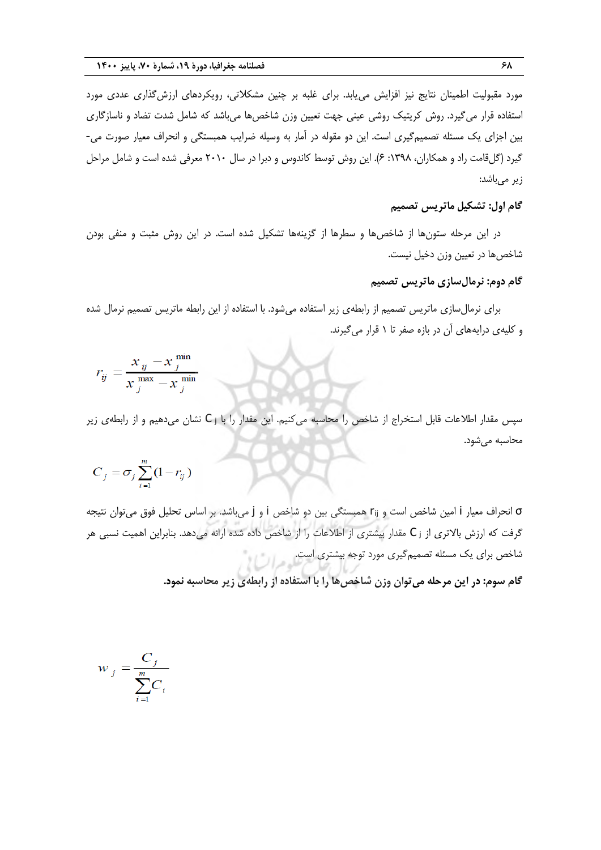مورد مقبولیت اطمینان نتایج نیز افزایش مییابد. برای غلبه بر چنین مشكالتی، رویكردهای ارزشگذاری عددی مورد استفاده قرار می گیرد. روش کریتیک روشی عینی جهت تعیین وزن شاخصها میباشد که شامل شدت تضاد و ناسازگاری بین اجزای ین مسئله تصمیمگیری است. این دو مقوله در آمار به وسیله ضرایب همبستگی و انحراف معیار صورت می- گیرد (گلقامت راد و همکاران، ۱۳۹۸: ۶). این روش توسط کاندوس و دبرا در سال ۲۰۱۰ معرفی شده است و شامل مراحل زیر میباشد:

# **گام اول: تشکیل ماتریس تصمیم**

در این مرحله ستونها از شاخصها و سطرها از گزینهها تشكیل شده است. در این روش مثبت و منفی بودن شاخصها در تعیین وزن دخیل نیست.

#### **گام دوم: نرمالسازی ماتریس تصمیم**

برای نرمالسازی ماتریس تصمیم از رابطهی زیر استفاده میشود. با استفاده از این رابطه ماتریس تصمیم نرمال شده و کلیهی درایههای آن در بازه صفر تا 1 قرار میگیرند.

$$
r_{ij} = \frac{x_{ij} - x_j^{\text{min}}}{x_j^{\text{max}} - x_j^{\text{min}}}
$$

سپس مقدار اطلاعات قابل استخراج از شاخص را محاسبه میکنیم. این مقدار را با ز C نشان میدهیم و از رابطهی زیر محاسبه میشود.

$$
C_j = \sigma_j \sum_{i=1}^m (1 - r_{ij})
$$

σ انحراف معیار i امین شاخص است و rij همبستگی بین دو شاخص i و j میباشد. بر اساس تحلیل فوق میتوان نتیجه گرفت که ارزش بالاتری از ز C مقدار بیشتری از اطلاعات را از شاخص داده شده ارائه میدهد. بنابراین اهمیت نسبی هر شاخص برای ین مسئله تصمیمگیری مورد توجه بیشتری است.

**گام سوم: در این مرحله میتوان وزن شاخصها را با استفاده از رابطهی زیر محاسبه نمود.**

$$
w_j = \frac{C_j}{\sum_{i=1}^m C_i}
$$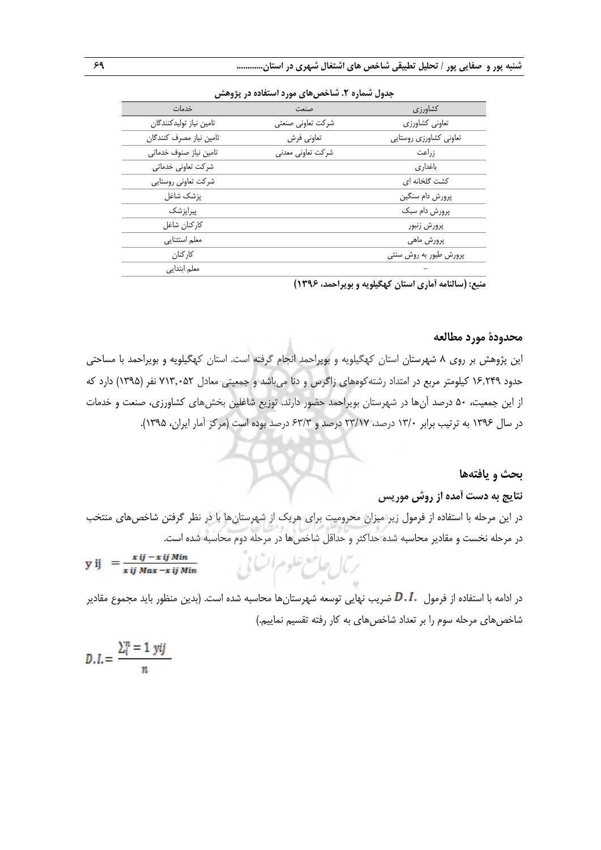| جدوں سمارہ ۱. ساخص های مورد استفادہ در پروهس |                        |  |  |
|----------------------------------------------|------------------------|--|--|
| صنعت                                         | کشاورزی                |  |  |
| شركت تعاوني صنعتى                            | تعاوني كشاورزي         |  |  |
| تعاوني فرش                                   | تعاوني كشاورزي روستايي |  |  |
| شركت تعاوني معدني                            | زراعت                  |  |  |
|                                              | باغدارى                |  |  |
|                                              | کشت گلخانه ای          |  |  |
|                                              | پرورش دام سنگين        |  |  |
|                                              | پرورش دام سبک          |  |  |
|                                              | پرورش زنبور            |  |  |
|                                              | پرورش ماهي             |  |  |
|                                              | پرورش طیور به روش سنتی |  |  |
|                                              |                        |  |  |
|                                              |                        |  |  |

**جدول شماره .2 شاخصهای مورد استفاده در پژوهش**

 **منبع: )سالنامه آماری استان کهگیلویه و بویراحمد، 1396(**

#### **محدودۀ مورد مطالعه**

این پژوهش بر روی 8 شهرستان استان کهگیلویه و بویراحمد انجام گرفته است. استان کهگیلویه و بویراحمد با مساحتی حدود 16٫249 کیلومتر مربع در امتداد رشتهکوههای زاگرس و دنا میباشد و جمعیتی معادل 713٬052 نفر )1395( دارد که از این جمعیت، 50 درصد آنها در شهرستان بویراحمد حضور دارند. توزیع شاغلین بخشهای کشاورزی، صنعت و خدمات در سال 1396 به ترتیب برابر 13/0 درصد، 23/17 درصد و 63/3 درصد بوده است )مرکز آمار ایران، 1395(.

#### **بحث و یافتهها**

#### **نتایج به دست آمده از روش موریس**

در این مرحله با استفاده از فرمول زیر میزان محرومیت برای هرین از شهرستانها با در نظر گرفتن شاخصهای منتخب در مرحله نخست و مقادیر محاسبه شده حداکثر و حداقل شاخصها در مرحله دوم محاسبه شده است.

ترمال حامع علوم السابي

$$
y ij = \frac{x ij - x ij Min}{x ij Max - x ij Min}
$$

در ادامه با استفاده از فرمول  $D\ldots$  ضریب نهایی توسعه شهرستانها محاسبه شده است. (بدین منظور باید مجموع مقادیر شاخصهای مرحله سوم را بر تعداد شاخصهای به کار رفته تقسیم نماییم.(

$$
D.I. = \frac{\sum_{i=1}^{n} y_{ij}}{n}
$$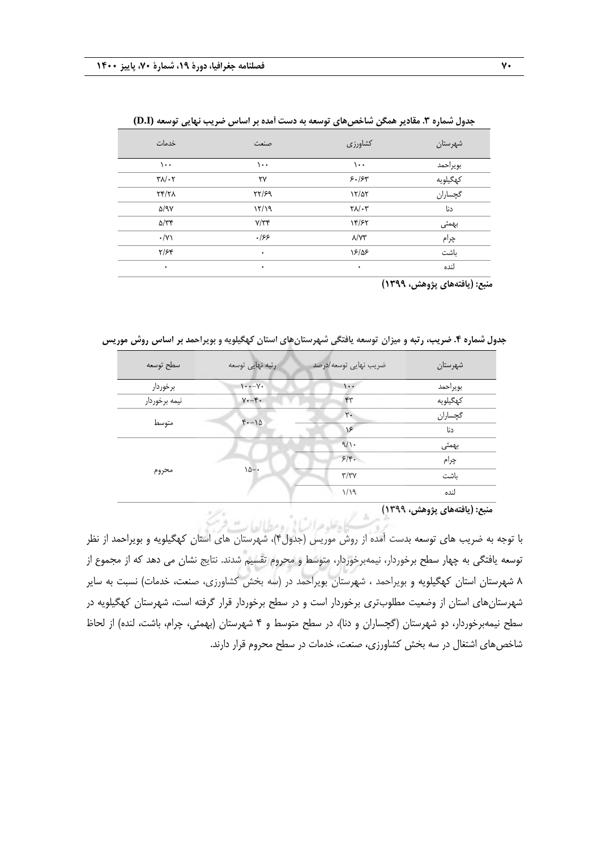| خدمات                         | صنعت     | كشاورزى                             | شهرستان  |
|-------------------------------|----------|-------------------------------------|----------|
| ۱۰۰                           | ۱۰۰      | ۱۰۰                                 | بويراحمد |
| $\mathbf{Y}\wedge/\mathbf{Y}$ | ٢٧       | 5.154                               | كهگيلويه |
| $\gamma$                      | YY/99    | 17/27                               | گچساران  |
| $\Delta$ /9 $\gamma$          | 17/19    | $\mathsf{Y}\Lambda/\cdot\mathsf{Y}$ | دنا      |
| $\Delta/\tau$                 | $Y/\tau$ | 14/۶۲                               | بهمئى    |
| $\cdot/\gamma$                | .199     | $\lambda/\Upsilon\Upsilon$          | چرام     |
| $Y/\mathcal{F}$               | ۰        | 18/08                               | باشت     |
| ٠                             | ٠        | ۰                                   | لنده     |

**جدول شماره .3 مقادیر همگن شاخصهای توسعه به دست آمده بر اساس ضریب نهایی توسعه (I.D(**

 **منبع: )یافتههای پژوهش، 1399(**

**جدول شماره .4 ضریب، رتبه و میزان توسعه یافتگی شهرستانهای استان کهگیلویه و بویراحمد بر اساس روش موریس**

| سطح توسعه     | رتبه نهایی توسعه     | ضريب نهايي توسعه /درصد | شهرستان  |
|---------------|----------------------|------------------------|----------|
| برخوردار      | $\cdots$             | $\cdot$ .              | بويراحمد |
| نيمه برخوردار | $Y - f$ .            | ۴٣                     | كهگيلويه |
|               | $f(-)$               | $\mathsf{r}$ .         | گچساران  |
| متوسط         |                      | $\sqrt{2}$             | دنا      |
| محروم         | $\lambda \Delta - 1$ | 9/1                    | بهمئى    |
|               |                      | $5/\mathfrak{r}$ .     | چرام     |
|               |                      | $\tau/\tau\gamma$      | ىاشت     |
|               |                      | 1/19                   | لنده     |
|               |                      |                        |          |

 **منبع: )یافتههای پژوهش، 1399(**

با توجه به ضریب های توسعه بدست آمده از روش موریس )جدول4(، شهرستان های استان کهگیلویه و بویراحمد از نظر توسعه یافتگی به چهار سطح برخوردار، نیمهبرخوردار، متوسط و محروم تقسیم شدند. نتایج نشان می دهد که از مجموع از 8 شهرستان استان کهگیلویه و بویراحمد ، شهرستان بویراحمد در )سه بخش کشاورزی، صنعت، خدمات( نسبت به سایر شهرستانهای استان از وضعیت مطلوبتری برخوردار است و در سطح برخوردار قرار گرفته است، شهرستان کهگیلویه در سطح نیمهبرخوردار، دو شهرستان (گچساران و دنا)، در سطح متوسط و ۴ شهرستان (بهمئی، چرام، باشت، لنده) از لحاظ شاخصهای اشتغال در سه بخش کشاورزی، صنعت، خدمات در سطح محروم قرار دارند.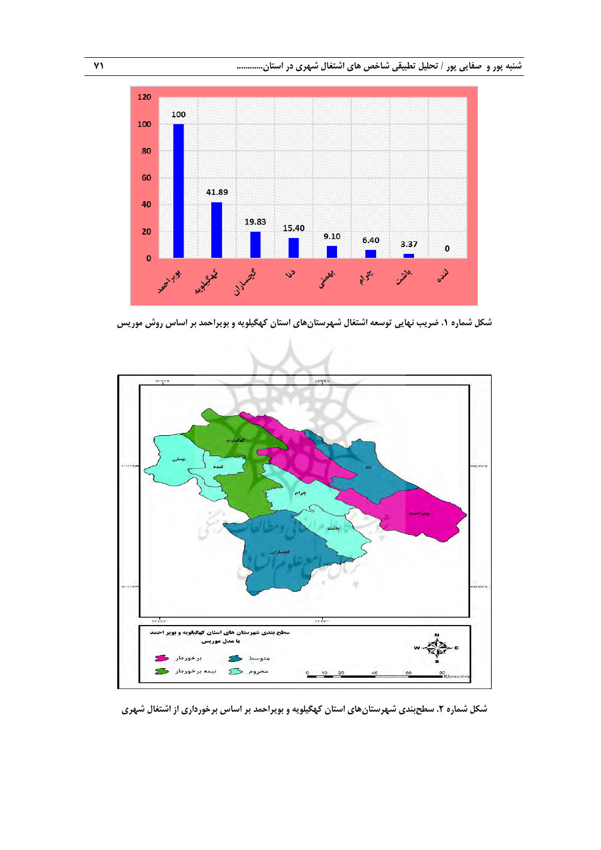**شنبه پور و صفایی پور / تحلیل تطبیقی شاخص های اشتغال شهری در استان............ 71**



**شکل شماره .1 ضریب نهایی توسعه اشتغال شهرستانهای استان کهگیلویه و بویراحمد بر اساس روش موریس**



**شکل شماره .2 سطحبندی شهرستانهای استان کهگیلویه و بویراحمد بر اساس برخورداری از اشتغال شهری**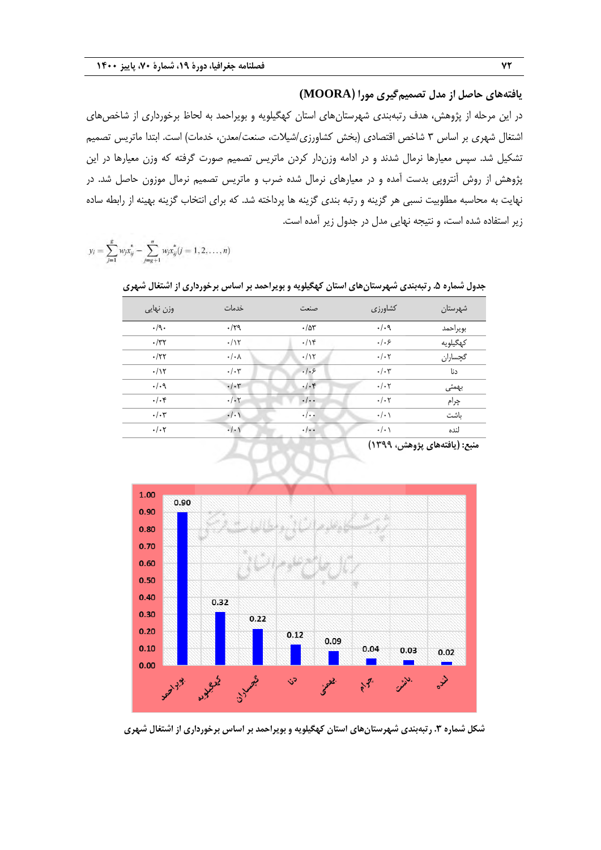**یافتههای حاصل از مدل تصمیمگیری مورا )MOORA(**

در این مرحله از پژوهش، هدف رتبهبندی شهرستانهای استان کهگیلویه و بویراحمد به لحاظ برخورداری از شاخصهای اشتغال شهری بر اساس ۳ شاخص اقتصادی (بخش کشاورزی/شیلات، صنعت/معدن، خدمات) است. ابتدا ماتریس تصمیم تشكیل شد. سپس معیارها نرمال شدند و در ادامه وزندار کردن ماتریس تصمیم صورت گرفته که وزن معیارها در این پژوهش از روش آنتروپی بدست آمده و در معیارهای نرمال شده ضرب و ماتریس تصمیم نرمال موزون حاصل شد. در نهایت به محاسبه مطلوبیت نسبی هر گزینه و رتبه بندی گزینه ها پرداخته شد. که برای انتخاب گزینه بهینه از رابطه ساده زیر استفاده شده است، و نتیجه نهایی مدل در جدول زیر آمده است.

 $y_i = \sum_{i=1}^{g} w_i x_{ij}^* - \sum_{i=g+1}^{n} w_i x_{ij}^* (j = 1, 2, ..., n)$ 

| وزن نهایی       | خدمات                | صنعت                      | كشاورزى         | شهرستان  |
|-----------------|----------------------|---------------------------|-----------------|----------|
| $\cdot$ /9.     | .179                 | .78                       | . / .9          | بويراحمد |
| $\cdot$ /٣٢     | $\cdot/\gamma$       | $\cdot/\gamma$            | .   . 5         | كهگيلويه |
| .77             | $\cdot/\cdot \wedge$ | $\cdot/\gamma$            | $\cdot/\cdot7$  | گچساران  |
| .117            | $\cdot/\cdot7$       | .   . 5                   | $\cdot/\cdot$ ۳ | دنا      |
| .44             | $\cdot/\cdot$ ۳      | $.$ / $.$ ۴               | $\cdot/\cdot7$  | بهمئى    |
| $\cdot/\cdot$ ۴ | $\cdot/\cdot 7$      | $\cdot/\cdot$             | $\cdot/\cdot7$  | چرام     |
| $\cdot/\cdot$ ۳ | $\cdot/\cdot$        | $\cdot$ / $\cdot$ +       | $\cdot/\cdot$   | ىاشت     |
| $\cdot/\cdot7$  | $\cdot/\cdot$        | $\cdot$ / $\cdot$ $\cdot$ | $\cdot/\cdot$   | لنده     |
|                 |                      |                           |                 |          |

**جدول شماره .5 رتبهبندی شهرستانهای استان کهگیلویه و بویراحمد بر اساس برخورداری از اشتغال شهری**

 **منبع: )یافتههای پژوهش، 1399(**



**شکل شماره .3 رتبهبندی شهرستانهای استان کهگیلویه و بویراحمد بر اساس برخورداری از اشتغال شهری**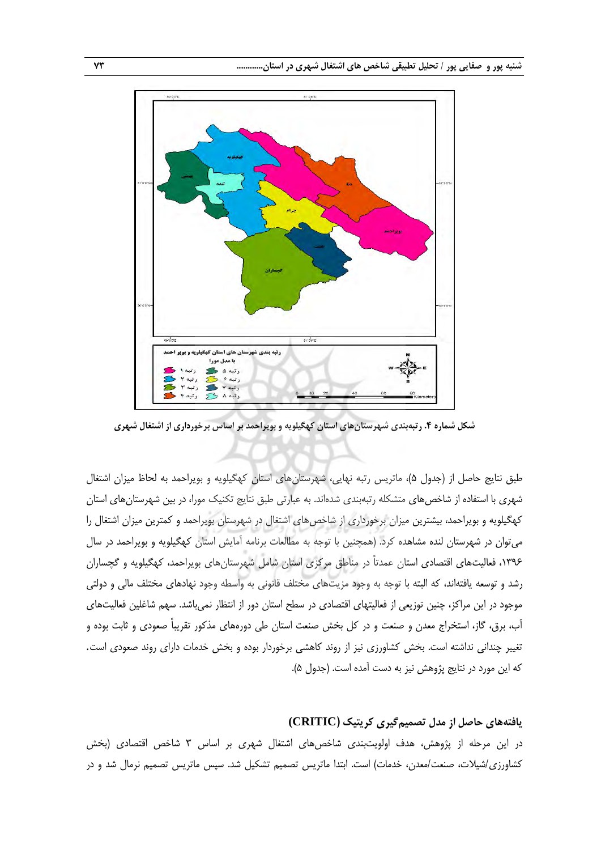

**شکل شماره .4 رتبهبندی شهرستانهای استان کهگیلویه و بویراحمد بر اساس برخورداری از اشتغال شهری**

طبق نتایج حاصل از (جدول ۵)، ماتریس رتبه نهایی، شهرستانهای استان کهگیلویه و بویراحمد به لحاظ میزان اشتغال شهری با استفاده از شاخصهای متشكله رتبهبندی شدهاند. به عبارتی طبق نتایج تكنین مورا، در بین شهرستانهای استان کهگیلویه و بویراحمد، بیشترین میزان برخورداری از شاخصهای اشتغال در شهرستان بویراحمد و کمترین میزان اشتغال را میتوان در شهرستان لنده مشاهده کرد. )همچنین با توجه به مطالعات برنامه آمایش استان کهگیلویه و بویراحمد در سال ،1396 فعالیتهای اقتصادی استان عمدتاً در مناطق مرکزی استان شامل شهرستانهای بویراحمد، کهگیلویه و گچساران رشد و توسعه یافتهاند، که البته با توجه به وجود مزیتهای مختلف قانونی به واسطه وجود نهادهای مختلف مالی و دولتی موجود در این مراکز، چنین توزیعی از فعالیتهای اقتصادی در سطح استان دور از انتظار نمیباشد. سهم شاغلین فعالیتهای آب، برق، گاز، استخراج معدن و صنعت و در کل بخش صنعت استان طی دورههای مذکور تقریباً صعودی و ثابت بوده و تغییر چندانی نداشته است. بخش کشاورزی نیز از روند کاهشی برخوردار بوده و بخش خدمات دارای روند صعودی است. که این مورد در نتایج پژوهش نیز به دست آمده است. (جدول ۵).

#### **یافتههای حاصل از مدل تصمیمگیری کریتیک )CRITIC(**

در این مرحله از پژوهش، هدف اولویتبندی شاخصهای اشتغال شهری بر اساس 3 شاخص اقتصادی )بخش کشاورزی/شیلات، صنعت/معدن، خدمات) است. ابتدا ماتریس تصمیم تشکیل شد. سپس ماتریس تصمیم نرمال شد و در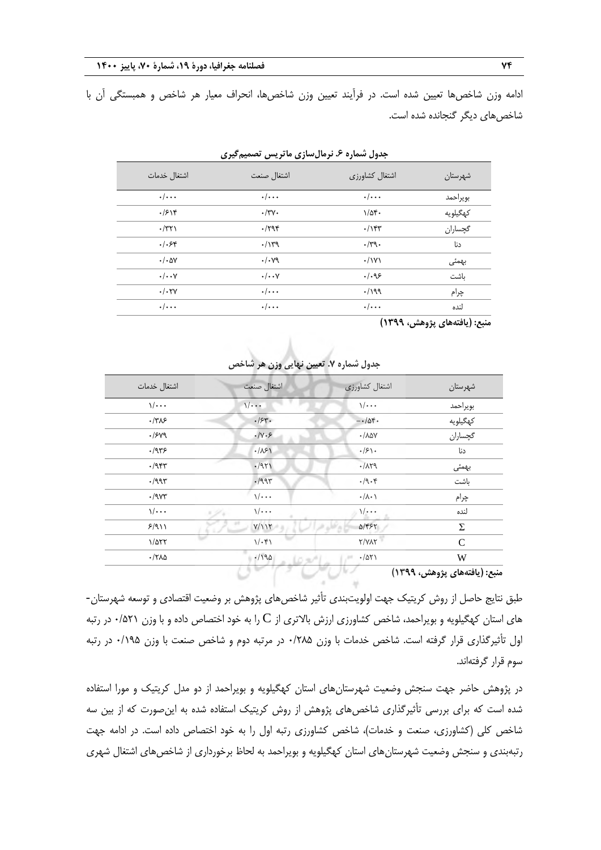ادامه وزن شاخصها تعیین شده است. در فرآیند تعیین وزن شاخصها، انحراف معیار هر شاخص و همبستگی آن با شاخصهای دیگر گنجانده شده است.

| اشتغال خدمات          | اشتغال صنعت             | اشتغال كشاورزى     | شهرستان                      |
|-----------------------|-------------------------|--------------------|------------------------------|
| $\cdot/\cdot\cdot$    | $\cdot/\cdot\cdot\cdot$ | $\cdot/\cdot\cdot$ | بويراحمد                     |
| .7518                 | $\cdot/\tau$ $\vee$ .   | $1/\Delta f$ .     | كهگيلويه                     |
| $\cdot$ /٣٢١          | .798                    | .78                | گچساران                      |
| $.$ / $.$ ۶۴          | .114                    | $\cdot$ /۳9.       | دنا                          |
| $\cdot/\cdot\Delta V$ | $\cdot/\cdot$ yq        | $\cdot$ / $\vee$   | بهمئى                        |
| $\cdot/\cdot\cdot$ Y  | $\cdot/\cdot\cdot$ Y    | .1.98              | ىاشت                         |
| $\cdot/\cdot$ TY      | $\cdot/\cdot\cdot\cdot$ | $\cdot$ /199       | چرام                         |
| $\cdot/\cdot\cdot$    | $\cdot/\cdot\cdot$      | $\cdot/\cdot\cdot$ | لنده                         |
|                       |                         |                    | منبع: (يافتههاي پژوهش، ١٣٩٩) |

**جدول شماره .6 نرمالسازی ماتریس تصمیمگیری**

| اشتغال خدمات                 | اشتغال صنعت            | اشتغال كشاورزى             | شهرستان                           |
|------------------------------|------------------------|----------------------------|-----------------------------------|
| $\sqrt{\cdots}$              | $\sqrt{1 + 1}$         | $\sqrt{\cdots}$            | بويراحمد                          |
| .778                         | .154.                  | $-10f.$                    | كهگيلويه                          |
| .1549                        | $\cdot/\gamma \cdot 5$ | $\cdot / \lambda \Delta V$ | گچساران                           |
| .475                         | .181                   | $\cdot$ /۶۱.               | دنا                               |
| .795                         | .1971                  | $-711$                     | بهمئى                             |
| $\cdot$ /995                 | $-1994$                | $\cdot$ /9 $\cdot$ $\cdot$ | باشت                              |
| $\cdot$ /98                  | $\sqrt{\cdots}$        | $\cdot/\lambda\cdot$       | چرام                              |
| $\sqrt{\cdots}$              | $\sqrt{\cdots}$        | $\sqrt{\cdots}$            | لنده                              |
| 5/911                        | Y/117                  | $\Delta$ /۴۶۲              | Σ                                 |
| $1/\Delta \Upsilon \Upsilon$ | $1/\cdot$ ۴۱           | Y/YAY                      | C                                 |
| $\cdot$ /٢٨٥                 | .190                   | $\cdot/\Delta\Upsilon$     | W                                 |
|                              |                        |                            | $\sim$ $\sim$ $\sim$<br>$\lambda$ |

**جدول شماره .7 تعیین نهایی وزن هر شاخص**

**منبع: )یافتههای پژوهش، 1399(**

طبق نتایج حاصل از روش کریتین جهت اولویتبندی تأثیر شاخصهای پژوهش بر وضعیت اقتصادی و توسعه شهرستان- های استان کهگیلویه و بویراحمد، شاخص کشاورزی ارزش بالاتری از  $\rm C$  را به خود اختصاص داده و با وزن ۰/۵۲۱ در رتبه اول تأثیرگذاری قرار گرفته است. شاخص خدمات با وزن 0/285 در مرتبه دوم و شاخص صنعت با وزن 0/195 در رتبه سوم قرار گرفتهاند.

در پژوهش حاضر جهت سنجش وضعیت شهرستانهای استان کهگیلویه و بویراحمد از دو مدل کریتین و مورا استفاده شده است که برای بررسی تأثیرگذاری شاخصهای پژوهش از روش کریتیک استفاده شده به اینصورت که از بین سه شاخص کلی (کشاورزی، صنعت و خدمات)، شاخص کشاورزی رتبه اول را به خود اختصاص داده است. در ادامه جهت رتبهبندی و سنجش وضعیت شهرستانهای استان کهگیلویه و بویراحمد به لحاظ برخورداری از شاخصهای اشتغال شهری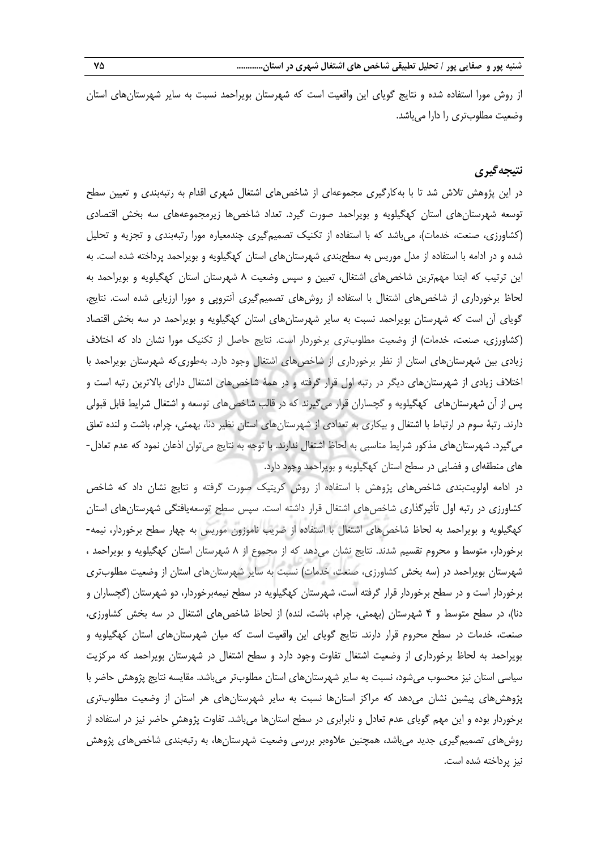از روش مورا استفاده شده و نتایج گویای این واقعیت است که شهرستان بویراحمد نسبت به سایر شهرستانهای استان وضعیت مطلوبتری را دارا میباشد.

#### **نتیجهگیری**

در این پژوهش تلاش شد تا با بهکارگیری مجموعهای از شاخصهای اشتغال شهری اقدام به رتبهبندی و تعیین سطح توسعه شهرستانهای استان کهگیلویه و بویراحمد صورت گیرد. تعداد شاخصها زیرمجموعههای سه بخش اقتصادی (کشاورزی، صنعت، خدمات)، میباشد که با استفاده از تکنیک تصمیمگیری چندمعیاره مورا رتبهبندی و تجزیه و تحلیل شده و در ادامه با استفاده از مدل موریس به سطحبندی شهرستانهای استان کهگیلویه و بویراحمد پرداخته شده است. به این ترتیب که ابتدا مهمترین شاخصهای اشتغال، تعیین و سپس وضعیت 8 شهرستان استان کهگیلویه و بویراحمد به لحاظ برخورداری از شاخصهای اشتغال با استفاده از روشهای تصمیمگیری آنتروپی و مورا ارزیابی شده است. نتایج، گویای آن است که شهرستان بویراحمد نسبت به سایر شهرستانهای استان کهگیلویه و بویراحمد در سه بخش اقتصاد (کشاورزی، صنعت، خدمات) از وضعیت مطلوبتری برخوردار است. نتایج حاصل از تكنیک مورا نشان داد که اختلاف زیادی بین شهرستانهای استان از نظر برخورداری از شاخصهای اشتغال وجود دارد. بهطوریکه شهرستان بویراحمد با اختالف زیادی از شهرستانهای دیگر در رتبه اول قرار گرفته و در همۀ شاخصهای اشتغال دارای باالترین رتبه است و پس از آن شهرستانهای کهگیلویه و گچساران قرار میگیرند که در قالب شاخصهای توسعه و اشتغال شرایط قابل قبولی دارند. رتبۀ سوم در ارتباط با اشتغال و بیكاری به تعدادی از شهرستانهای استان نظیر دنا، بهمئی، چرام، باشت و لنده تعلق میگیرد. شهرستانهای مذکور شرایط مناسبی به لحاظ اشتغال ندارند. با توجه به نتایج میتوان اذعان نمود که عدم تعادل-های منطقهای و فضایی در سطح استان کهگیلویه و بویراحمد وجود دارد.

در ادامه اولویتبندی شاخصهای پژوهش با استفاده از روش کریتین صورت گرفته و نتایج نشان داد که شاخص کشاورزی در رتبه اول تأثیرگذاری شاخصهای اشتغال قرار داشته است. سپس سطح توسعهیافتگی شهرستانهای استان کهگیلویه و بویراحمد به لحاظ شاخصهای اشتغال با استفاده از ضریب ناموزون موریس به چهار سطح برخوردار، نیمه- برخوردار، متوس و محروم تقسیم شدند. نتایج نشان میدهد که از مجموع از 8 شهرستان استان کهگیلویه و بویراحمد ، شهرستان بویراحمد در (سه بخش کشاورزی، صنعت، خدمات) نسبت به سایر شهرستانهای استان از وضعیت مطلوبتری برخوردار است و در سطح برخوردار قرار گرفته است، شهرستان کهگیلویه در سطح نیمهبرخوردار، دو شهرستان )گچساران و دنا)، در سطح متوسط و ۴ شهرستان (بهمئی، چرام، باشت، لنده) از لحاظ شاخصهای اشتغال در سه بخش کشاورزی، صنعت، خدمات در سطح محروم قرار دارند. نتایج گویای این واقعیت است که میان شهرستانهای استان کهگیلویه و بویراحمد به لحاظ برخورداری از وضعیت اشتغال تفاوت وجود دارد و سطح اشتغال در شهرستان بویراحمد که مرکزیت سیاسی استان نیز محسوب میشود، نسبت یه سایر شهرستانهای استان مطلوبتر میباشد. مقایسه نتایج پژوهش حاضر با پژوهشهای پیشین نشان میدهد که مراکز استانها نسبت به سایر شهرستانهای هر استان از وضعیت مطلوبتری برخوردار بوده و این مهم گویای عدم تعادل و نابرابری در سطح استانها میباشد. تفاوت پژوهشِ حاضر نیز در استفاده از روشهای تصمیمگیری جدید میباشد، همچنین عالوهبر بررسی وضعیت شهرستانها، به رتبهبندی شاخصهای پژوهش نیز پرداخته شده است.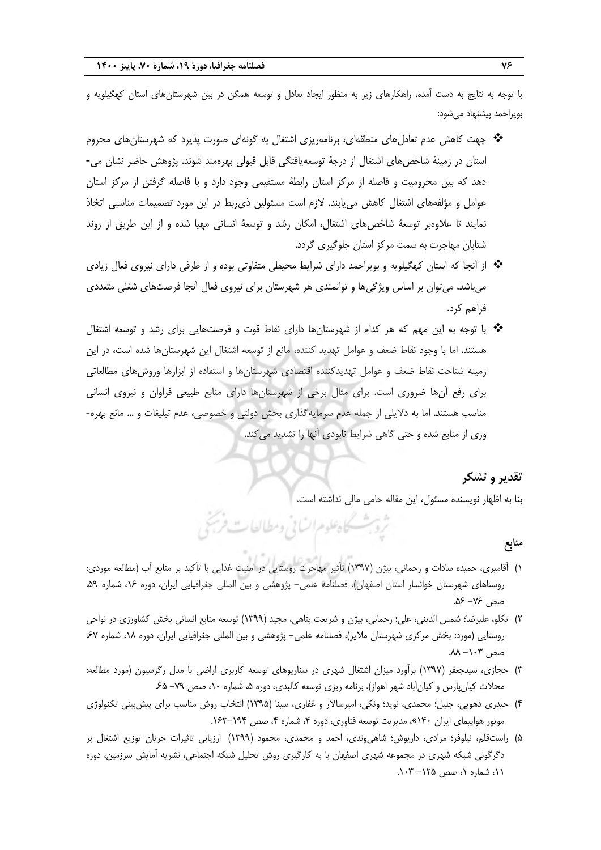با توجه به نتایج به دست آمده، راهكارهای زیر به منظور ایجاد تعادل و توسعه همگن در بین شهرستانهای استان کهگیلویه و بویراحمد پیشنهاد میشود:

- جهت کاهش عدم تعادلهای منطقهای، برنامهریزی اشتغال به گونهای صورت پذیرد که شهرستانهای محروم استان در زمینۀ شاخصهای اشتغال از درجۀ توسعهیافتگی قابل قبولی بهرهمند شوند. پژوهش حاضر نشان می- دهد که بین محرومیت و فاصله از مرکز استان رابطۀ مستقیمی وجود دارد و با فاصله گرفتن از مرکز استان عوامل و مؤلفههای اشتغال کاهش مییابند. لازم است مسئولین ذی ربط در این مورد تصمیمات مناسبی اتخاذ نمایند تا عالوهبر توسعۀ شاخصهای اشتغال، امكان رشد و توسعۀ انسانی مهیا شده و از این طریق از روند شتابان مهاجرت به سمت مرکز استان جلوگیری گردد.
- \* از آنجا که استان کهگیلویه و بویراحمد دارای شرایط محیطی متفاوتی بوده و از طرفی دارای نیروی فعال زیادی میباشد، میتوان بر اساس ویژگیها و توانمندی هر شهرستان برای نیروی فعال آنجا فرصتهای شغلی متعددی فراهم کرد.
- با توجه به این مهم که هر کدام از شهرستانها دارای نقاط قوت و فرصتهایی برای رشد و توسعه اشتغال هستند. اما با وجود نقاط ضعف و عوامل تهدید کننده، مانع از توسعه اشتغال این شهرستانها شده است، در این زمینه شناخت نقاط ضعف و عوامل تهدیدکننده اقتصادی شهرستانها و استفاده از ابزارها وروشهای مطالعاتی برای رفع آنها ضروری است. برای مثال برخی از شهرستانها دارای منابع طبیعی فراوان و نیروی انسانی مناسب هستند. اما به دالیلی از جمله عدم سرمایهگذاری بخش دولتی و خصوصی، عدم تبلیغات و ... مانع بهره- وری از منابع شده و حتی گاهی شرایط نابودی آنها را تشدید میکند.

# **تقدیر و تشکر**

بنا به اظهار نویسنده مسئول، این مقاله حامی مالی نداشته است.

# **منابع**

1( آقامیری، حمیده سادات و رحمانی، بیژن )1397( تأثیر مهاجرت روستایی در امنیت غذایی با تأکید بر منابع آب )مطالعه موردی: روستاهای شهرستان خوانسار استان اصفهان(، فصلنامه علمی- پژوهشی و بین المللی جغرافیایی ایران، دوره ،16 شماره ،59 صص ۷۶− ۵۶.

ثرو بمسكاه علوم السابي ومطالعات فرسخ

- 2( تكلو، علیرضا؛ شمس الدینی، علی؛ رحمانی، بیژن و شریعت پناهی، مجید )1399( توسعه منابع انسانی بخش کشاورزی در نواحی روستایی )مورد: بخش مرکزی شهرستان مالیر(، فصلنامه علمی- پژوهشی و بین المللی جغرافیایی ایران، دوره ،18 شماره ،67  $\mathsf{A}\mathsf{A}-\mathsf{A}\mathsf{B}$ صص
- 3( حجازی، سیدجعفر )1397( برآورد میزان اشتغال شهری در سناریوهای توسعه کاربری اراضی با مدل رگرسیون )مورد مطالعه: محلات کیانپارس و کیانآباد شهر اهواز)، برنامه ریزی توسعه کالبدی، دوره ۵، شماره ۱۰، صص ۷۹– ۶۵.
- 4( حیدری دهویی، جلیل؛ محمدی، نوید؛ ونكی، امیرساالر و غفاری، سینا )1395( انتخاب روش مناسب برای پیشبینی تكنولوژی موتور هواپیمای ایران ۱۴۰»، مدیریت توسعه فناوری، دوره ۴، شماره ۴، صص ۱۹۴–۱۶۳.
- 5( راستقلم، نیلوفر؛ مرادی، داریوش؛ شاهیوندی، احمد و محمدی، محمود )1399( ارزیابی تاثیرات جریان توزیع اشتغال بر دگرگونی شبكه شهری در مجموعه شهری اصفهان با به کارگیری روش تحلیل شبكه اجتماعی، نشریه آمایش سرزمین، دوره ۰۱۱، شماره ۰۱ صص ۱۲۵– ۰۱۰۳.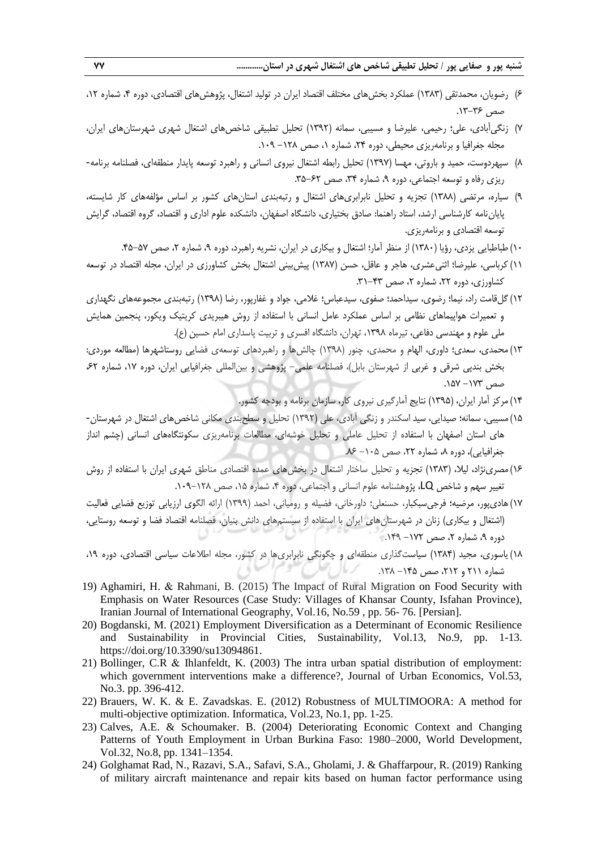- 6( رضویان، محمدتقی )1383( عملكرد بخشهای مختلف اقتصاد ایران در تولید اشتغال، پژوهشهای اقتصادی، دوره ،4 شماره ،12 صص ۳۶-۱۳.
- 7( زنگیآبادی، علی؛ رحیمی، علیرضا و مسیبی، سمانه )1392( تحلیل تطبیقی شاخصهای اشتغال شهری شهرستانهای ایران، مجله جغرافیا و برنامهریزی محیطی، دوره ۲۴، شماره ۱، صص ۱۲۸ – ۱۰۹.
- 8( سپهردوست، حمید و باروتی، مهسا )1397( تحلیل رابطه اشتغال نیروی انسانی و راهبرد توسعه پایدار منطقهای، فصلنامه برنامه- ریزی رفاه و توسعه اجتماعی، دوره ۹، شماره ۳۴، صص ۶۲-۳۵.
- 9( سیاره، مرتضی )1388( تجزیه و تحلیل نابرابریهای اشتغال و رتبهبندی استانهای کشور بر اساس مؤلفههای کار شایسته، پایاننامه کارشناسی ارشد، استاد راهنما: صادق بختیاری، دانشگاه اصفهان، دانشكده علوم اداری و اقتصاد، گروه اقتصاد، گرایش توسعه اقتصادی و برنامهریزی.
	- ۱۰) طباطبایی یزدی، رؤیا (۱۳۸۰) از منظر آمار؛ اشتغال و بیكاری در ایران، نشریه راهبرد، دوره ۹، شماره ۲، صص ۵۷-۴۵.
- ١١) کرباسی، علیرضا؛ اثنیعشری، هاجر و عاقل، حسن (١٣٨٧) پیش بینی اشتغال بخش کشاورزی در ایران، مجله اقتصاد در توسعه کشاورزی، دوره ۲۲، شماره ۲، صص ۴۳–۳۱.
- 12(گلقامت راد، نیما؛ رضوی، سیداحمد؛ صفوی، سیدعباس؛ غالمی، جواد و غفارپور، رضا )1398( رتبهبندی مجموعههای نگهداری و تعمیرات هواپیماهای نظامی بر اساس عملكرد عامل انسانی با استفاده از روش هیبریدی کریتین ویكور، پنجمین همایش ملی علوم و مهندسی دفاعی، تیرماه ،1398 تهران، دانشگاه افسری و تربیت پاسداری امام حسین )ع(.
- 13( محمدی، سعدی؛ داوری، الهام و محمدی، چنور )1398( چالشها و راهبردهای توسعهی فضایی روستاشهرها )مطالعه موردی: بخش بندپی شرقی و غربی از شهرستان بابل)، فصلنامه علمی- پژوهشی و بین المللی جغرافیایی ایران، دوره ١٧، شماره ۶۲،  $-18Y - 1Y$ صص
	- 14( مرکز آمار ایران، )1395( نتایج آمارگیری نیروی کار، سازمان برنامه و بودجه کشور.
- 15(مسیبی، سمانه؛ صیدایی، سید اسكندر و زنگی آبادی، علی )1392( تحلیل و سطحبندی مكانی شاخصهای اشتغال در شهرستان- های استان اصفهان با استفاده از تحلیل عاملی و تحلیل خوشهای، مطالعات برنامهریزی سكونتگاههای انسانی )چشم انداز جغرافیایی)، دوره ۸، شماره ۲۲، صص ۲۰۵–۸۶.
- 16(مصرینژاد، لیال، )1383( تجزیه و تحلیل ساختار اشتغال در بخشهای عمده اقتصادی مناطق شهری ایران با استفاده از روش تغییر سهم و شاخص LQ، پژوهشنامه علوم انسانی و اجتماعی، دوره ،4 شماره ،15 صص .109-128
- 17(هادیپور، مرضیه؛ فرجیسبكبار، حسنعلی؛ داورخانی، فضیله و رومیانی، احمد )1399( ارائه الگوی ارزیابی توزیع فضایی فعالیت )اشتغال و بیكاری( زنان در شهرستانهای ایران با استفاده از سیستمهای دانش بنیان، فصلنامه اقتصاد فضا و توسعه روستایی، دوره ۹، شماره ۲، صص ۱۲۲- ۱۴۹.
- 18( یاسوری، مجید )1384( سیاستگذاری منطقهای و چگونگی نابرابریها در کشور، مجله اطالعات سیاسی اقتصادی، دوره ،19 شماره ۲۱۱ و ۲۱۲، صص ۱۴۵– ۱۳۸.
- 19) Aghamiri, H. & Rahmani, B. (2015) The Impact of Rural Migration on Food Security with Emphasis on Water Resources (Case Study: Villages of Khansar County, Isfahan Province), Iranian Journal of International Geography, Vol.16, No.59 , pp. 56- 76. [Persian].
- 20) Bogdanski, M. (2021) Employment Diversification as a Determinant of Economic Resilience and Sustainability in Provincial Cities, Sustainability, Vol.13, No.9, pp. 1-13. https://doi.org/10.3390/su13094861.
- 21) Bollinger, C.R & Ihlanfeldt, K. (2003) The intra urban spatial distribution of employment: which government interventions make a difference?, Journal of Urban Economics, Vol.53, No.3. pp. 396-412.
- 22) Brauers, W. K. & E. Zavadskas. E. (2012) Robustness of MULTIMOORA: A method for multi-objective optimization. Informatica, Vol.23, No.1, pp. 1-25.
- 23) Calves, A.E. & Schoumaker. B. (2004) Deteriorating Economic Context and Changing Patterns of Youth Employment in Urban Burkina Faso: 1980–2000, World Development, Vol.32, No.8, pp. 1341–1354.
- 24) Golghamat Rad, N., Razavi, S.A., Safavi, S.A., Gholami, J. & Ghaffarpour, R. (2019) Ranking of military aircraft maintenance and repair kits based on human factor performance using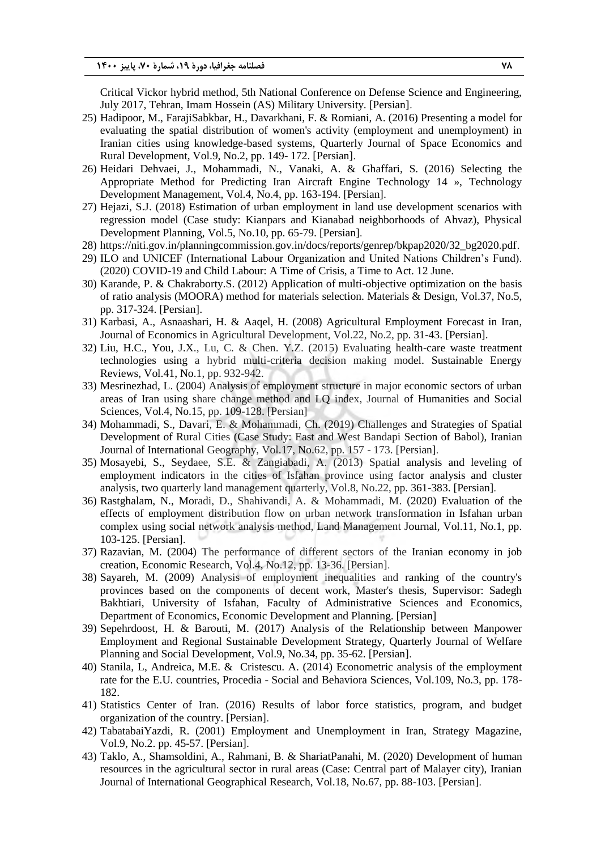Critical Vickor hybrid method, 5th National Conference on Defense Science and Engineering, July 2017, Tehran, Imam Hossein (AS) Military University. [Persian].

- 25) Hadipoor, M., FarajiSabkbar, H., Davarkhani, F. & Romiani, A. (2016) Presenting a model for evaluating the spatial distribution of women's activity (employment and unemployment) in Iranian cities using knowledge-based systems, Quarterly Journal of Space Economics and Rural Development, Vol.9, No.2, pp. 149- 172. [Persian].
- 26) Heidari Dehvaei, J., Mohammadi, N., Vanaki, A. & Ghaffari, S. (2016) Selecting the Appropriate Method for Predicting Iran Aircraft Engine Technology 14 », Technology Development Management, Vol.4, No.4, pp. 163-194. [Persian].
- 27) Hejazi, S.J. (2018) Estimation of urban employment in land use development scenarios with regression model (Case study: Kianpars and Kianabad neighborhoods of Ahvaz), Physical Development Planning, Vol.5, No.10, pp. 65-79. [Persian].
- 28) https://niti.gov.in/planningcommission.gov.in/docs/reports/genrep/bkpap2020/32\_bg2020.pdf.
- 29) ILO and UNICEF (International Labour Organization and United Nations Children's Fund). (2020) COVID-19 and Child Labour: A Time of Crisis, a Time to Act. 12 June.
- 30) Karande, P. & Chakraborty.S. (2012) Application of multi-objective optimization on the basis of ratio analysis (MOORA) method for materials selection. Materials & Design, Vol.37, No.5, pp. 317-324. [Persian].
- 31) Karbasi, A., Asnaashari, H. & Aaqel, H. (2008) Agricultural Employment Forecast in Iran, Journal of Economics in Agricultural Development, Vol.22, No.2, pp. 31-43. [Persian].
- 32) Liu, H.C., You, J.X., Lu, C. & Chen. Y.Z. (2015) Evaluating health-care waste treatment technologies using a hybrid multi-criteria decision making model. Sustainable Energy Reviews, Vol.41, No.1, pp. 932-942.
- 33) Mesrinezhad, L. (2004) Analysis of employment structure in major economic sectors of urban areas of Iran using share change method and LQ index, Journal of Humanities and Social Sciences, Vol.4, No.15, pp. 109-128. [Persian]
- 34) Mohammadi, S., Davari, E. & Mohammadi, Ch. (2019) Challenges and Strategies of Spatial Development of Rural Cities (Case Study: East and West Bandapi Section of Babol), Iranian Journal of International Geography, Vol.17, No.62, pp. 157 - 173. [Persian].
- 35) Mosayebi, S., Seydaee, S.E. & Zangiabadi, A. (2013) Spatial analysis and leveling of employment indicators in the cities of Isfahan province using factor analysis and cluster analysis, two quarterly land management quarterly, Vol.8, No.22, pp. 361-383. [Persian].
- 36) Rastghalam, N., Moradi, D., Shahivandi, A. & Mohammadi, M. (2020) Evaluation of the effects of employment distribution flow on urban network transformation in Isfahan urban complex using social network analysis method, Land Management Journal, Vol.11, No.1, pp. 103-125. [Persian].
- 37) Razavian, M. (2004) The performance of different sectors of the Iranian economy in job creation, Economic Research, Vol.4, No.12, pp. 13-36. [Persian].
- 38) Sayareh, M. (2009) Analysis of employment inequalities and ranking of the country's provinces based on the components of decent work, Master's thesis, Supervisor: Sadegh Bakhtiari, University of Isfahan, Faculty of Administrative Sciences and Economics, Department of Economics, Economic Development and Planning. [Persian]
- 39) Sepehrdoost, H. & Barouti, M. (2017) Analysis of the Relationship between Manpower Employment and Regional Sustainable Development Strategy, Quarterly Journal of Welfare Planning and Social Development, Vol.9, No.34, pp. 35-62. [Persian].
- 40) Stanila, L, Andreica, M.E. & Cristescu. A. (2014) Econometric analysis of the employment rate for the E.U. countries, Procedia - Social and Behaviora Sciences, Vol.109, No.3, pp. 178- 182.
- 41) Statistics Center of Iran. (2016) Results of labor force statistics, program, and budget organization of the country. [Persian].
- 42) TabatabaiYazdi, R. (2001) Employment and Unemployment in Iran, Strategy Magazine, Vol.9, No.2. pp. 45-57. [Persian].
- 43) Taklo, A., Shamsoldini, A., Rahmani, B. & ShariatPanahi, M. (2020) Development of human resources in the agricultural sector in rural areas (Case: Central part of Malayer city), Iranian Journal of International Geographical Research, Vol.18, No.67, pp. 88-103. [Persian].